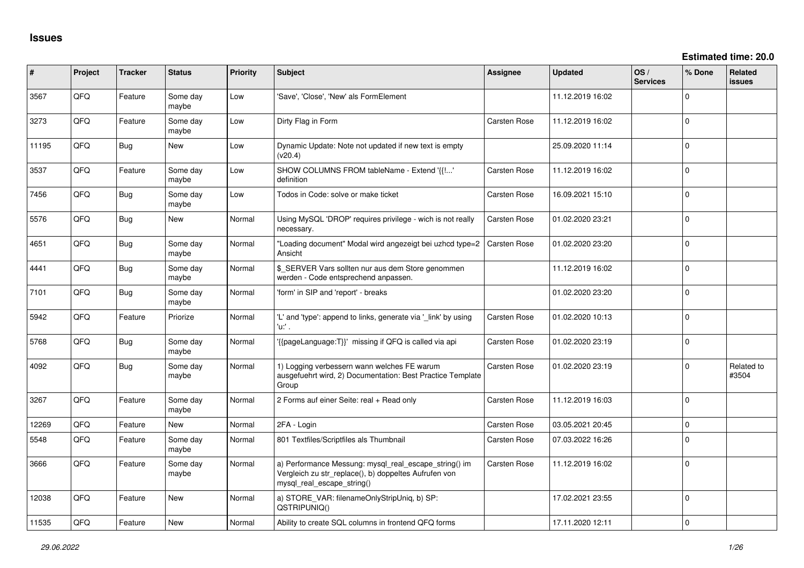| ∦     | Project | <b>Tracker</b> | <b>Status</b>     | <b>Priority</b> | <b>Subject</b>                                                                                                                               | Assignee            | <b>Updated</b>   | OS/<br><b>Services</b> | % Done      | <b>Related</b><br><b>issues</b> |
|-------|---------|----------------|-------------------|-----------------|----------------------------------------------------------------------------------------------------------------------------------------------|---------------------|------------------|------------------------|-------------|---------------------------------|
| 3567  | QFQ     | Feature        | Some day<br>maybe | Low             | 'Save', 'Close', 'New' als FormElement                                                                                                       |                     | 11.12.2019 16:02 |                        | $\Omega$    |                                 |
| 3273  | QFQ     | Feature        | Some day<br>maybe | Low             | Dirty Flag in Form                                                                                                                           | Carsten Rose        | 11.12.2019 16:02 |                        | $\Omega$    |                                 |
| 11195 | QFQ     | <b>Bug</b>     | New               | Low             | Dynamic Update: Note not updated if new text is empty<br>(v20.4)                                                                             |                     | 25.09.2020 11:14 |                        | $\Omega$    |                                 |
| 3537  | QFQ     | Feature        | Some day<br>maybe | Low             | SHOW COLUMNS FROM tableName - Extend '{{!'<br>definition                                                                                     | <b>Carsten Rose</b> | 11.12.2019 16:02 |                        | $\Omega$    |                                 |
| 7456  | QFQ     | <b>Bug</b>     | Some day<br>maybe | Low             | Todos in Code: solve or make ticket                                                                                                          | Carsten Rose        | 16.09.2021 15:10 |                        | $\Omega$    |                                 |
| 5576  | QFQ     | Bug            | New               | Normal          | Using MySQL 'DROP' requires privilege - wich is not really<br>necessary.                                                                     | <b>Carsten Rose</b> | 01.02.2020 23:21 |                        | $\Omega$    |                                 |
| 4651  | QFQ     | Bug            | Some day<br>maybe | Normal          | "Loading document" Modal wird angezeigt bei uzhcd type=2<br>Ansicht                                                                          | <b>Carsten Rose</b> | 01.02.2020 23:20 |                        | $\mathbf 0$ |                                 |
| 4441  | QFQ     | <b>Bug</b>     | Some day<br>maybe | Normal          | \$ SERVER Vars sollten nur aus dem Store genommen<br>werden - Code entsprechend anpassen.                                                    |                     | 11.12.2019 16:02 |                        | $\Omega$    |                                 |
| 7101  | QFQ     | Bug            | Some day<br>maybe | Normal          | 'form' in SIP and 'report' - breaks                                                                                                          |                     | 01.02.2020 23:20 |                        | $\mathbf 0$ |                                 |
| 5942  | QFQ     | Feature        | Priorize          | Normal          | 'L' and 'type': append to links, generate via '_link' by using<br>'u:' .                                                                     | Carsten Rose        | 01.02.2020 10:13 |                        | $\mathbf 0$ |                                 |
| 5768  | QFQ     | Bug            | Some day<br>maybe | Normal          | {{pageLanguage:T}}' missing if QFQ is called via api                                                                                         | Carsten Rose        | 01.02.2020 23:19 |                        | $\Omega$    |                                 |
| 4092  | QFQ     | <b>Bug</b>     | Some day<br>maybe | Normal          | 1) Logging verbessern wann welches FE warum<br>ausgefuehrt wird, 2) Documentation: Best Practice Template<br>Group                           | Carsten Rose        | 01.02.2020 23:19 |                        | $\mathbf 0$ | Related to<br>#3504             |
| 3267  | QFQ     | Feature        | Some day<br>maybe | Normal          | 2 Forms auf einer Seite: real + Read only                                                                                                    | Carsten Rose        | 11.12.2019 16:03 |                        | $\Omega$    |                                 |
| 12269 | QFQ     | Feature        | <b>New</b>        | Normal          | 2FA - Login                                                                                                                                  | Carsten Rose        | 03.05.2021 20:45 |                        | 0           |                                 |
| 5548  | QFQ     | Feature        | Some day<br>maybe | Normal          | 801 Textfiles/Scriptfiles als Thumbnail                                                                                                      | <b>Carsten Rose</b> | 07.03.2022 16:26 |                        | $\mathbf 0$ |                                 |
| 3666  | QFQ     | Feature        | Some day<br>maybe | Normal          | a) Performance Messung: mysql_real_escape_string() im<br>Vergleich zu str_replace(), b) doppeltes Aufrufen von<br>mysql_real_escape_string() | <b>Carsten Rose</b> | 11.12.2019 16:02 |                        | $\Omega$    |                                 |
| 12038 | QFQ     | Feature        | <b>New</b>        | Normal          | a) STORE VAR: filenameOnlyStripUniq, b) SP:<br>QSTRIPUNIQ()                                                                                  |                     | 17.02.2021 23:55 |                        | $\mathbf 0$ |                                 |
| 11535 | QFQ     | Feature        | New               | Normal          | Ability to create SQL columns in frontend QFQ forms                                                                                          |                     | 17.11.2020 12:11 |                        | $\mathbf 0$ |                                 |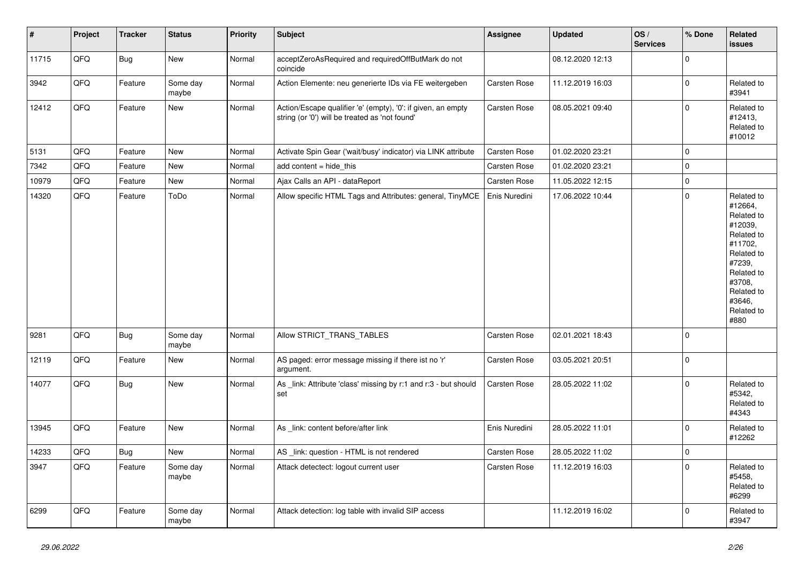| $\vert$ # | Project | <b>Tracker</b> | <b>Status</b>     | Priority | Subject                                                                                                        | Assignee      | <b>Updated</b>   | OS/<br><b>Services</b> | % Done         | <b>Related</b><br><b>issues</b>                                                                                                                                       |
|-----------|---------|----------------|-------------------|----------|----------------------------------------------------------------------------------------------------------------|---------------|------------------|------------------------|----------------|-----------------------------------------------------------------------------------------------------------------------------------------------------------------------|
| 11715     | QFQ     | Bug            | New               | Normal   | acceptZeroAsRequired and requiredOffButMark do not<br>coincide                                                 |               | 08.12.2020 12:13 |                        | 0              |                                                                                                                                                                       |
| 3942      | QFQ     | Feature        | Some day<br>maybe | Normal   | Action Elemente: neu generierte IDs via FE weitergeben                                                         | Carsten Rose  | 11.12.2019 16:03 |                        | 0              | Related to<br>#3941                                                                                                                                                   |
| 12412     | QFQ     | Feature        | New               | Normal   | Action/Escape qualifier 'e' (empty), '0': if given, an empty<br>string (or '0') will be treated as 'not found' | Carsten Rose  | 08.05.2021 09:40 |                        | 0              | Related to<br>#12413,<br>Related to<br>#10012                                                                                                                         |
| 5131      | QFQ     | Feature        | New               | Normal   | Activate Spin Gear ('wait/busy' indicator) via LINK attribute                                                  | Carsten Rose  | 01.02.2020 23:21 |                        | 0              |                                                                                                                                                                       |
| 7342      | QFQ     | Feature        | New               | Normal   | add content = hide_this                                                                                        | Carsten Rose  | 01.02.2020 23:21 |                        | 0              |                                                                                                                                                                       |
| 10979     | QFQ     | Feature        | New               | Normal   | Ajax Calls an API - dataReport                                                                                 | Carsten Rose  | 11.05.2022 12:15 |                        | $\overline{0}$ |                                                                                                                                                                       |
| 14320     | QFQ     | Feature        | ToDo              | Normal   | Allow specific HTML Tags and Attributes: general, TinyMCE                                                      | Enis Nuredini | 17.06.2022 10:44 |                        | 0              | Related to<br>#12664,<br>Related to<br>#12039,<br>Related to<br>#11702.<br>Related to<br>#7239,<br>Related to<br>#3708.<br>Related to<br>#3646.<br>Related to<br>#880 |
| 9281      | QFQ     | <b>Bug</b>     | Some day<br>maybe | Normal   | Allow STRICT_TRANS_TABLES                                                                                      | Carsten Rose  | 02.01.2021 18:43 |                        | 0              |                                                                                                                                                                       |
| 12119     | QFQ     | Feature        | New               | Normal   | AS paged: error message missing if there ist no 'r'<br>argument.                                               | Carsten Rose  | 03.05.2021 20:51 |                        | 0              |                                                                                                                                                                       |
| 14077     | QFQ     | <b>Bug</b>     | <b>New</b>        | Normal   | As link: Attribute 'class' missing by r:1 and r:3 - but should<br>set                                          | Carsten Rose  | 28.05.2022 11:02 |                        | 0              | Related to<br>#5342,<br>Related to<br>#4343                                                                                                                           |
| 13945     | QFQ     | Feature        | New               | Normal   | As _link: content before/after link                                                                            | Enis Nuredini | 28.05.2022 11:01 |                        | $\overline{0}$ | Related to<br>#12262                                                                                                                                                  |
| 14233     | QFQ     | Bug            | <b>New</b>        | Normal   | AS _link: question - HTML is not rendered                                                                      | Carsten Rose  | 28.05.2022 11:02 |                        | $\overline{0}$ |                                                                                                                                                                       |
| 3947      | QFQ     | Feature        | Some day<br>maybe | Normal   | Attack detectect: logout current user                                                                          | Carsten Rose  | 11.12.2019 16:03 |                        | 0              | Related to<br>#5458,<br>Related to<br>#6299                                                                                                                           |
| 6299      | QFQ     | Feature        | Some day<br>maybe | Normal   | Attack detection: log table with invalid SIP access                                                            |               | 11.12.2019 16:02 |                        | $\overline{0}$ | Related to<br>#3947                                                                                                                                                   |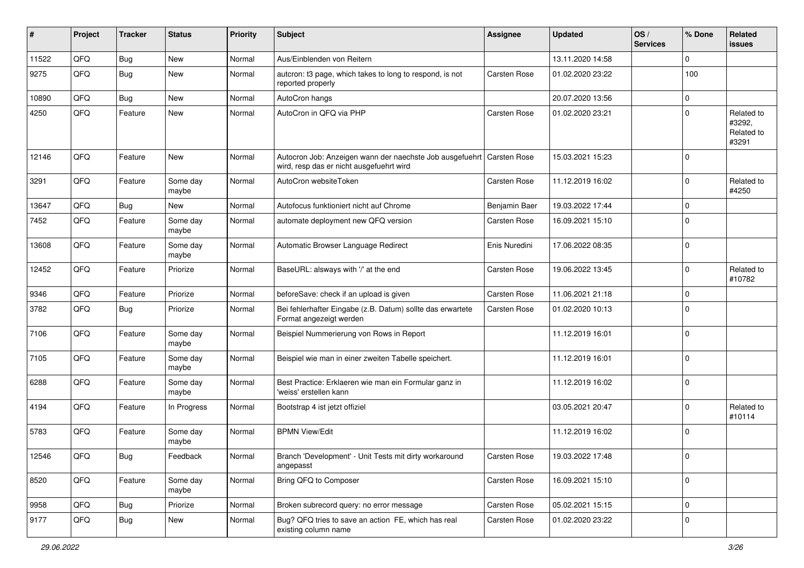| #     | Project        | <b>Tracker</b> | <b>Status</b>     | <b>Priority</b> | <b>Subject</b>                                                                                       | <b>Assignee</b>     | <b>Updated</b>   | OS/<br><b>Services</b> | % Done      | Related<br><b>issues</b>                    |
|-------|----------------|----------------|-------------------|-----------------|------------------------------------------------------------------------------------------------------|---------------------|------------------|------------------------|-------------|---------------------------------------------|
| 11522 | QFQ            | Bug            | <b>New</b>        | Normal          | Aus/Einblenden von Reitern                                                                           |                     | 13.11.2020 14:58 |                        | $\Omega$    |                                             |
| 9275  | QFQ            | Bug            | New               | Normal          | autcron: t3 page, which takes to long to respond, is not<br>reported properly                        | Carsten Rose        | 01.02.2020 23:22 |                        | 100         |                                             |
| 10890 | QFQ            | Bug            | <b>New</b>        | Normal          | AutoCron hangs                                                                                       |                     | 20.07.2020 13:56 |                        | $\mathbf 0$ |                                             |
| 4250  | QFQ            | Feature        | New               | Normal          | AutoCron in QFQ via PHP                                                                              | Carsten Rose        | 01.02.2020 23:21 |                        | $\Omega$    | Related to<br>#3292,<br>Related to<br>#3291 |
| 12146 | QFQ            | Feature        | New               | Normal          | Autocron Job: Anzeigen wann der naechste Job ausgefuehrt<br>wird, resp das er nicht ausgefuehrt wird | <b>Carsten Rose</b> | 15.03.2021 15:23 |                        | $\Omega$    |                                             |
| 3291  | QFQ            | Feature        | Some day<br>maybe | Normal          | AutoCron websiteToken                                                                                | Carsten Rose        | 11.12.2019 16:02 |                        | $\Omega$    | Related to<br>#4250                         |
| 13647 | QFQ            | Bug            | <b>New</b>        | Normal          | Autofocus funktioniert nicht auf Chrome                                                              | Benjamin Baer       | 19.03.2022 17:44 |                        | $\Omega$    |                                             |
| 7452  | QFQ            | Feature        | Some day<br>maybe | Normal          | automate deployment new QFQ version                                                                  | Carsten Rose        | 16.09.2021 15:10 |                        | $\mathbf 0$ |                                             |
| 13608 | QFQ            | Feature        | Some day<br>maybe | Normal          | Automatic Browser Language Redirect                                                                  | Enis Nuredini       | 17.06.2022 08:35 |                        | $\Omega$    |                                             |
| 12452 | QFQ            | Feature        | Priorize          | Normal          | BaseURL: alsways with '/' at the end                                                                 | Carsten Rose        | 19.06.2022 13:45 |                        | $\Omega$    | Related to<br>#10782                        |
| 9346  | QFQ            | Feature        | Priorize          | Normal          | beforeSave: check if an upload is given                                                              | Carsten Rose        | 11.06.2021 21:18 |                        | $\Omega$    |                                             |
| 3782  | QFQ            | Bug            | Priorize          | Normal          | Bei fehlerhafter Eingabe (z.B. Datum) sollte das erwartete<br>Format angezeigt werden                | Carsten Rose        | 01.02.2020 10:13 |                        | $\Omega$    |                                             |
| 7106  | QFQ            | Feature        | Some day<br>maybe | Normal          | Beispiel Nummerierung von Rows in Report                                                             |                     | 11.12.2019 16:01 |                        | 0           |                                             |
| 7105  | QFQ            | Feature        | Some day<br>maybe | Normal          | Beispiel wie man in einer zweiten Tabelle speichert.                                                 |                     | 11.12.2019 16:01 |                        | 0           |                                             |
| 6288  | QFQ            | Feature        | Some day<br>maybe | Normal          | Best Practice: Erklaeren wie man ein Formular ganz in<br>'weiss' erstellen kann                      |                     | 11.12.2019 16:02 |                        | $\Omega$    |                                             |
| 4194  | QFQ            | Feature        | In Progress       | Normal          | Bootstrap 4 ist jetzt offiziel                                                                       |                     | 03.05.2021 20:47 |                        | $\Omega$    | Related to<br>#10114                        |
| 5783  | QFQ            | Feature        | Some day<br>maybe | Normal          | <b>BPMN View/Edit</b>                                                                                |                     | 11.12.2019 16:02 |                        | 0           |                                             |
| 12546 | $\mathsf{QFQ}$ | Bug            | Feedback          | Normal          | Branch 'Development' - Unit Tests mit dirty workaround<br>angepasst                                  | Carsten Rose        | 19.03.2022 17:48 |                        | U           |                                             |
| 8520  | QFQ            | Feature        | Some day<br>maybe | Normal          | Bring QFQ to Composer                                                                                | Carsten Rose        | 16.09.2021 15:10 |                        | 0           |                                             |
| 9958  | QFQ            | Bug            | Priorize          | Normal          | Broken subrecord query: no error message                                                             | Carsten Rose        | 05.02.2021 15:15 |                        | 0           |                                             |
| 9177  | QFQ            | Bug            | New               | Normal          | Bug? QFQ tries to save an action FE, which has real<br>existing column name                          | Carsten Rose        | 01.02.2020 23:22 |                        | 0           |                                             |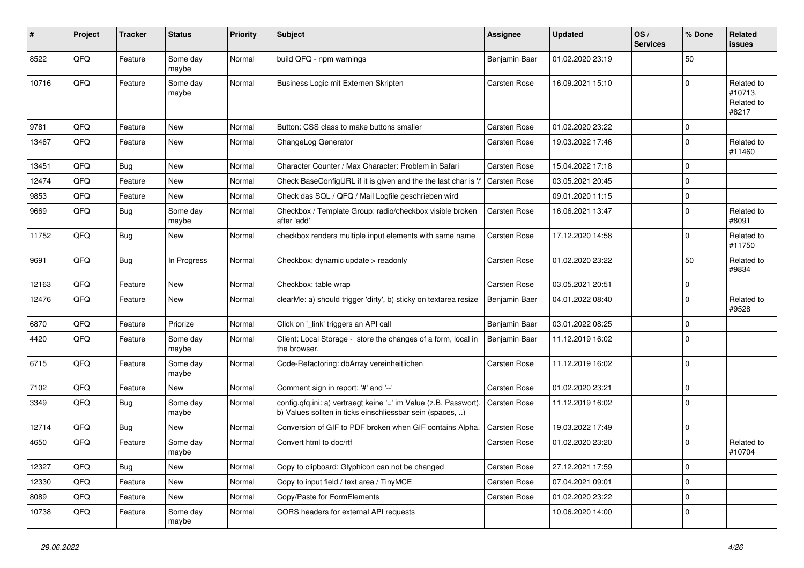| ∦     | <b>Project</b> | <b>Tracker</b> | <b>Status</b>     | <b>Priority</b> | <b>Subject</b>                                                                                                                | Assignee            | <b>Updated</b>   | OS/<br><b>Services</b> | % Done         | Related<br><b>issues</b>                     |
|-------|----------------|----------------|-------------------|-----------------|-------------------------------------------------------------------------------------------------------------------------------|---------------------|------------------|------------------------|----------------|----------------------------------------------|
| 8522  | QFQ            | Feature        | Some day<br>maybe | Normal          | build QFQ - npm warnings                                                                                                      | Benjamin Baer       | 01.02.2020 23:19 |                        | 50             |                                              |
| 10716 | QFQ            | Feature        | Some day<br>maybe | Normal          | Business Logic mit Externen Skripten                                                                                          | Carsten Rose        | 16.09.2021 15:10 |                        | $\Omega$       | Related to<br>#10713,<br>Related to<br>#8217 |
| 9781  | QFQ            | Feature        | <b>New</b>        | Normal          | Button: CSS class to make buttons smaller                                                                                     | Carsten Rose        | 01.02.2020 23:22 |                        | $\overline{0}$ |                                              |
| 13467 | QFQ            | Feature        | <b>New</b>        | Normal          | ChangeLog Generator                                                                                                           | Carsten Rose        | 19.03.2022 17:46 |                        | $\Omega$       | Related to<br>#11460                         |
| 13451 | QFQ            | Bug            | <b>New</b>        | Normal          | Character Counter / Max Character: Problem in Safari                                                                          | Carsten Rose        | 15.04.2022 17:18 |                        | 0              |                                              |
| 12474 | QFQ            | Feature        | <b>New</b>        | Normal          | Check BaseConfigURL if it is given and the the last char is '/                                                                | Carsten Rose        | 03.05.2021 20:45 |                        | $\mathbf 0$    |                                              |
| 9853  | QFQ            | Feature        | <b>New</b>        | Normal          | Check das SQL / QFQ / Mail Logfile geschrieben wird                                                                           |                     | 09.01.2020 11:15 |                        | $\mathbf 0$    |                                              |
| 9669  | QFQ            | Bug            | Some day<br>maybe | Normal          | Checkbox / Template Group: radio/checkbox visible broken<br>after 'add'                                                       | Carsten Rose        | 16.06.2021 13:47 |                        | $\mathbf 0$    | Related to<br>#8091                          |
| 11752 | QFQ            | <b>Bug</b>     | <b>New</b>        | Normal          | checkbox renders multiple input elements with same name                                                                       | Carsten Rose        | 17.12.2020 14:58 |                        | $\Omega$       | Related to<br>#11750                         |
| 9691  | QFQ            | Bug            | In Progress       | Normal          | Checkbox: dynamic update > readonly                                                                                           | Carsten Rose        | 01.02.2020 23:22 |                        | 50             | Related to<br>#9834                          |
| 12163 | QFQ            | Feature        | <b>New</b>        | Normal          | Checkbox: table wrap                                                                                                          | Carsten Rose        | 03.05.2021 20:51 |                        | $\mathbf 0$    |                                              |
| 12476 | QFQ            | Feature        | <b>New</b>        | Normal          | clearMe: a) should trigger 'dirty', b) sticky on textarea resize                                                              | Benjamin Baer       | 04.01.2022 08:40 |                        | $\Omega$       | Related to<br>#9528                          |
| 6870  | QFQ            | Feature        | Priorize          | Normal          | Click on ' link' triggers an API call                                                                                         | Benjamin Baer       | 03.01.2022 08:25 |                        | $\mathbf 0$    |                                              |
| 4420  | QFQ            | Feature        | Some day<br>maybe | Normal          | Client: Local Storage - store the changes of a form, local in<br>the browser.                                                 | Benjamin Baer       | 11.12.2019 16:02 |                        | $\Omega$       |                                              |
| 6715  | QFQ            | Feature        | Some day<br>maybe | Normal          | Code-Refactoring: dbArray vereinheitlichen                                                                                    | Carsten Rose        | 11.12.2019 16:02 |                        | $\Omega$       |                                              |
| 7102  | QFQ            | Feature        | <b>New</b>        | Normal          | Comment sign in report: '#' and '--'                                                                                          | <b>Carsten Rose</b> | 01.02.2020 23:21 |                        | $\Omega$       |                                              |
| 3349  | QFQ            | Bug            | Some day<br>maybe | Normal          | config.qfq.ini: a) vertraegt keine '=' im Value (z.B. Passwort),<br>b) Values sollten in ticks einschliessbar sein (spaces, ) | Carsten Rose        | 11.12.2019 16:02 |                        | $\Omega$       |                                              |
| 12714 | QFQ            | Bug            | <b>New</b>        | Normal          | Conversion of GIF to PDF broken when GIF contains Alpha.                                                                      | Carsten Rose        | 19.03.2022 17:49 |                        | $\mathbf 0$    |                                              |
| 4650  | QFQ            | Feature        | Some day<br>maybe | Normal          | Convert html to doc/rtf                                                                                                       | Carsten Rose        | 01.02.2020 23:20 |                        | $\Omega$       | Related to<br>#10704                         |
| 12327 | QFQ            | Bug            | <b>New</b>        | Normal          | Copy to clipboard: Glyphicon can not be changed                                                                               | Carsten Rose        | 27.12.2021 17:59 |                        | 0 l            |                                              |
| 12330 | QFQ            | Feature        | <b>New</b>        | Normal          | Copy to input field / text area / TinyMCE                                                                                     | Carsten Rose        | 07.04.2021 09:01 |                        | $\mathbf 0$    |                                              |
| 8089  | QFQ            | Feature        | <b>New</b>        | Normal          | Copy/Paste for FormElements                                                                                                   | Carsten Rose        | 01.02.2020 23:22 |                        | $\mathbf 0$    |                                              |
| 10738 | QFQ            | Feature        | Some day<br>maybe | Normal          | CORS headers for external API requests                                                                                        |                     | 10.06.2020 14:00 |                        | 0              |                                              |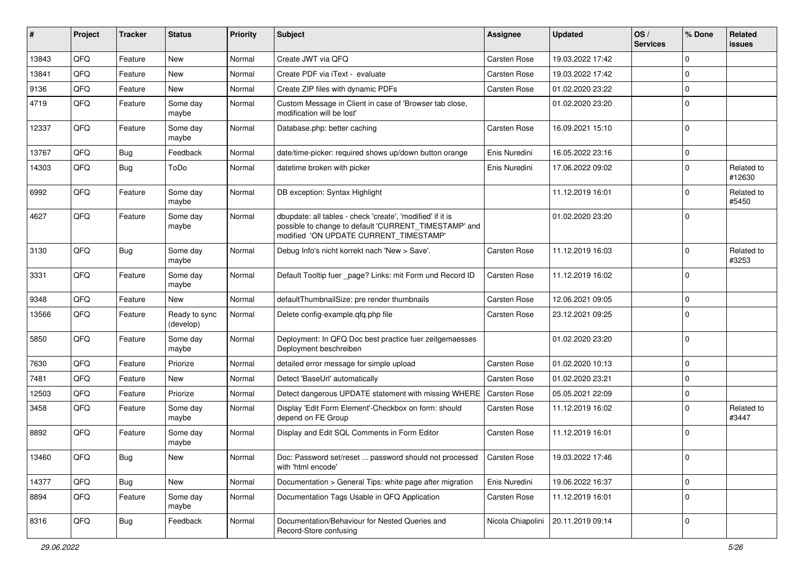| ∦     | Project | <b>Tracker</b> | <b>Status</b>              | <b>Priority</b> | Subject                                                                                                                                                       | Assignee            | <b>Updated</b>   | OS/<br><b>Services</b> | % Done      | Related<br><b>issues</b> |
|-------|---------|----------------|----------------------------|-----------------|---------------------------------------------------------------------------------------------------------------------------------------------------------------|---------------------|------------------|------------------------|-------------|--------------------------|
| 13843 | QFQ     | Feature        | <b>New</b>                 | Normal          | Create JWT via QFQ                                                                                                                                            | Carsten Rose        | 19.03.2022 17:42 |                        | $\Omega$    |                          |
| 13841 | QFQ     | Feature        | <b>New</b>                 | Normal          | Create PDF via iText - evaluate                                                                                                                               | <b>Carsten Rose</b> | 19.03.2022 17:42 |                        | $\Omega$    |                          |
| 9136  | QFQ     | Feature        | New                        | Normal          | Create ZIP files with dynamic PDFs                                                                                                                            | <b>Carsten Rose</b> | 01.02.2020 23:22 |                        | $\Omega$    |                          |
| 4719  | QFQ     | Feature        | Some day<br>maybe          | Normal          | Custom Message in Client in case of 'Browser tab close,<br>modification will be lost'                                                                         |                     | 01.02.2020 23:20 |                        | $\Omega$    |                          |
| 12337 | QFQ     | Feature        | Some day<br>maybe          | Normal          | Database.php: better caching                                                                                                                                  | <b>Carsten Rose</b> | 16.09.2021 15:10 |                        | $\Omega$    |                          |
| 13767 | QFQ     | Bug            | Feedback                   | Normal          | date/time-picker: required shows up/down button orange                                                                                                        | Enis Nuredini       | 16.05.2022 23:16 |                        | 0           |                          |
| 14303 | QFQ     | Bug            | ToDo                       | Normal          | datetime broken with picker                                                                                                                                   | Enis Nuredini       | 17.06.2022 09:02 |                        | $\Omega$    | Related to<br>#12630     |
| 6992  | QFQ     | Feature        | Some day<br>maybe          | Normal          | DB exception: Syntax Highlight                                                                                                                                |                     | 11.12.2019 16:01 |                        | $\Omega$    | Related to<br>#5450      |
| 4627  | QFQ     | Feature        | Some day<br>maybe          | Normal          | dbupdate: all tables - check 'create', 'modified' if it is<br>possible to change to default 'CURRENT_TIMESTAMP' and<br>modified 'ON UPDATE CURRENT_TIMESTAMP' |                     | 01.02.2020 23:20 |                        | $\Omega$    |                          |
| 3130  | QFQ     | Bug            | Some day<br>maybe          | Normal          | Debug Info's nicht korrekt nach 'New > Save'.                                                                                                                 | <b>Carsten Rose</b> | 11.12.2019 16:03 |                        | $\Omega$    | Related to<br>#3253      |
| 3331  | QFQ     | Feature        | Some day<br>maybe          | Normal          | Default Tooltip fuer _page? Links: mit Form und Record ID                                                                                                     | <b>Carsten Rose</b> | 11.12.2019 16:02 |                        | $\Omega$    |                          |
| 9348  | QFQ     | Feature        | <b>New</b>                 | Normal          | defaultThumbnailSize: pre render thumbnails                                                                                                                   | <b>Carsten Rose</b> | 12.06.2021 09:05 |                        | $\Omega$    |                          |
| 13566 | QFQ     | Feature        | Ready to sync<br>(develop) | Normal          | Delete config-example.gfg.php file                                                                                                                            | <b>Carsten Rose</b> | 23.12.2021 09:25 |                        | $\Omega$    |                          |
| 5850  | QFQ     | Feature        | Some day<br>maybe          | Normal          | Deployment: In QFQ Doc best practice fuer zeitgemaesses<br>Deployment beschreiben                                                                             |                     | 01.02.2020 23:20 |                        | $\Omega$    |                          |
| 7630  | QFQ     | Feature        | Priorize                   | Normal          | detailed error message for simple upload                                                                                                                      | <b>Carsten Rose</b> | 01.02.2020 10:13 |                        | $\Omega$    |                          |
| 7481  | QFQ     | Feature        | <b>New</b>                 | Normal          | Detect 'BaseUrl' automatically                                                                                                                                | <b>Carsten Rose</b> | 01.02.2020 23:21 |                        | $\Omega$    |                          |
| 12503 | QFQ     | Feature        | Priorize                   | Normal          | Detect dangerous UPDATE statement with missing WHERE                                                                                                          | <b>Carsten Rose</b> | 05.05.2021 22:09 |                        | $\Omega$    |                          |
| 3458  | QFQ     | Feature        | Some day<br>maybe          | Normal          | Display 'Edit Form Element'-Checkbox on form: should<br>depend on FE Group                                                                                    | <b>Carsten Rose</b> | 11.12.2019 16:02 |                        | $\Omega$    | Related to<br>#3447      |
| 8892  | QFQ     | Feature        | Some day<br>maybe          | Normal          | Display and Edit SQL Comments in Form Editor                                                                                                                  | <b>Carsten Rose</b> | 11.12.2019 16:01 |                        | $\Omega$    |                          |
| 13460 | QFQ     | <b>Bug</b>     | New                        | Normal          | Doc: Password set/reset  password should not processed<br>with 'html encode'                                                                                  | Carsten Rose        | 19.03.2022 17:46 |                        | $\mathbf 0$ |                          |
| 14377 | QFQ     | <b>Bug</b>     | New                        | Normal          | Documentation > General Tips: white page after migration                                                                                                      | Enis Nuredini       | 19.06.2022 16:37 |                        | $\mathbf 0$ |                          |
| 8894  | QFQ     | Feature        | Some day<br>maybe          | Normal          | Documentation Tags Usable in QFQ Application                                                                                                                  | Carsten Rose        | 11.12.2019 16:01 |                        | 0           |                          |
| 8316  | QFQ     | Bug            | Feedback                   | Normal          | Documentation/Behaviour for Nested Queries and<br>Record-Store confusing                                                                                      | Nicola Chiapolini   | 20.11.2019 09:14 |                        | $\mathbf 0$ |                          |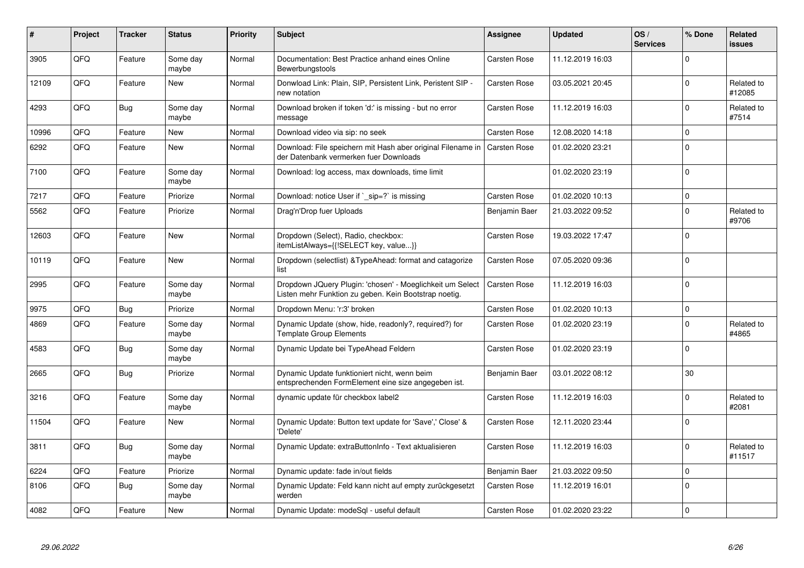| #     | Project | <b>Tracker</b> | <b>Status</b>     | <b>Priority</b> | <b>Subject</b>                                                                                                     | Assignee            | <b>Updated</b>   | OS/<br><b>Services</b> | % Done      | Related<br><b>issues</b> |
|-------|---------|----------------|-------------------|-----------------|--------------------------------------------------------------------------------------------------------------------|---------------------|------------------|------------------------|-------------|--------------------------|
| 3905  | QFQ     | Feature        | Some day<br>maybe | Normal          | Documentation: Best Practice anhand eines Online<br>Bewerbungstools                                                | <b>Carsten Rose</b> | 11.12.2019 16:03 |                        | $\Omega$    |                          |
| 12109 | QFQ     | Feature        | <b>New</b>        | Normal          | Donwload Link: Plain, SIP, Persistent Link, Peristent SIP -<br>new notation                                        | Carsten Rose        | 03.05.2021 20:45 |                        | $\Omega$    | Related to<br>#12085     |
| 4293  | QFQ     | Bug            | Some day<br>maybe | Normal          | Download broken if token 'd:' is missing - but no error<br>message                                                 | Carsten Rose        | 11.12.2019 16:03 |                        | $\Omega$    | Related to<br>#7514      |
| 10996 | QFQ     | Feature        | <b>New</b>        | Normal          | Download video via sip: no seek                                                                                    | Carsten Rose        | 12.08.2020 14:18 |                        | $\Omega$    |                          |
| 6292  | QFQ     | Feature        | <b>New</b>        | Normal          | Download: File speichern mit Hash aber original Filename in<br>der Datenbank vermerken fuer Downloads              | <b>Carsten Rose</b> | 01.02.2020 23:21 |                        | $\Omega$    |                          |
| 7100  | QFQ     | Feature        | Some day<br>maybe | Normal          | Download: log access, max downloads, time limit                                                                    |                     | 01.02.2020 23:19 |                        | $\Omega$    |                          |
| 7217  | QFQ     | Feature        | Priorize          | Normal          | Download: notice User if `_sip=?` is missing                                                                       | <b>Carsten Rose</b> | 01.02.2020 10:13 |                        | $\Omega$    |                          |
| 5562  | QFQ     | Feature        | Priorize          | Normal          | Drag'n'Drop fuer Uploads                                                                                           | Benjamin Baer       | 21.03.2022 09:52 |                        | $\Omega$    | Related to<br>#9706      |
| 12603 | QFQ     | Feature        | <b>New</b>        | Normal          | Dropdown (Select), Radio, checkbox:<br>itemListAlways={{!SELECT key, value}}                                       | Carsten Rose        | 19.03.2022 17:47 |                        | $\Omega$    |                          |
| 10119 | QFQ     | Feature        | <b>New</b>        | Normal          | Dropdown (selectlist) & Type Ahead: format and catagorize<br>list                                                  | <b>Carsten Rose</b> | 07.05.2020 09:36 |                        | $\Omega$    |                          |
| 2995  | QFQ     | Feature        | Some day<br>maybe | Normal          | Dropdown JQuery Plugin: 'chosen' - Moeglichkeit um Select<br>Listen mehr Funktion zu geben. Kein Bootstrap noetig. | <b>Carsten Rose</b> | 11.12.2019 16:03 |                        | $\Omega$    |                          |
| 9975  | QFQ     | Bug            | Priorize          | Normal          | Dropdown Menu: 'r:3' broken                                                                                        | <b>Carsten Rose</b> | 01.02.2020 10:13 |                        | $\mathbf 0$ |                          |
| 4869  | QFQ     | Feature        | Some day<br>maybe | Normal          | Dynamic Update (show, hide, readonly?, required?) for<br><b>Template Group Elements</b>                            | Carsten Rose        | 01.02.2020 23:19 |                        | $\Omega$    | Related to<br>#4865      |
| 4583  | QFQ     | <b>Bug</b>     | Some day<br>maybe | Normal          | Dynamic Update bei TypeAhead Feldern                                                                               | Carsten Rose        | 01.02.2020 23:19 |                        | $\Omega$    |                          |
| 2665  | QFQ     | Bug            | Priorize          | Normal          | Dynamic Update funktioniert nicht, wenn beim<br>entsprechenden FormElement eine size angegeben ist.                | Benjamin Baer       | 03.01.2022 08:12 |                        | 30          |                          |
| 3216  | QFQ     | Feature        | Some day<br>maybe | Normal          | dynamic update für checkbox label2                                                                                 | <b>Carsten Rose</b> | 11.12.2019 16:03 |                        | 0           | Related to<br>#2081      |
| 11504 | QFQ     | Feature        | New               | Normal          | Dynamic Update: Button text update for 'Save',' Close' &<br>'Delete'                                               | Carsten Rose        | 12.11.2020 23:44 |                        | $\Omega$    |                          |
| 3811  | QFQ     | Bug            | Some day<br>maybe | Normal          | Dynamic Update: extraButtonInfo - Text aktualisieren                                                               | <b>Carsten Rose</b> | 11.12.2019 16:03 |                        | $\Omega$    | Related to<br>#11517     |
| 6224  | QFQ     | Feature        | Priorize          | Normal          | Dynamic update: fade in/out fields                                                                                 | Benjamin Baer       | 21.03.2022 09:50 |                        | $\Omega$    |                          |
| 8106  | QFQ     | <b>Bug</b>     | Some day<br>maybe | Normal          | Dynamic Update: Feld kann nicht auf empty zurückgesetzt<br>werden                                                  | <b>Carsten Rose</b> | 11.12.2019 16:01 |                        | $\Omega$    |                          |
| 4082  | QFQ     | Feature        | New               | Normal          | Dynamic Update: modeSql - useful default                                                                           | Carsten Rose        | 01.02.2020 23:22 |                        | $\Omega$    |                          |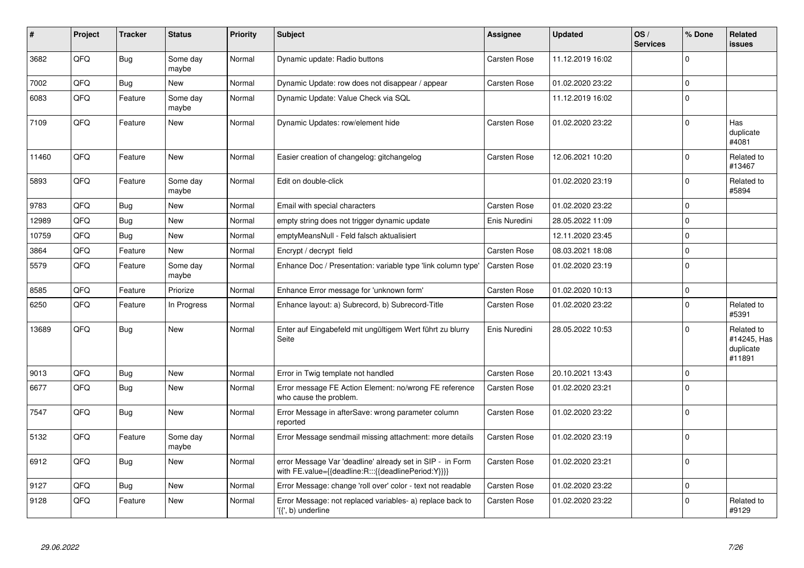| #     | Project | <b>Tracker</b> | <b>Status</b>     | <b>Priority</b> | <b>Subject</b>                                                                                                   | Assignee            | <b>Updated</b>   | OS/<br><b>Services</b> | % Done      | <b>Related</b><br><b>issues</b>                  |
|-------|---------|----------------|-------------------|-----------------|------------------------------------------------------------------------------------------------------------------|---------------------|------------------|------------------------|-------------|--------------------------------------------------|
| 3682  | QFQ     | Bug            | Some day<br>maybe | Normal          | Dynamic update: Radio buttons                                                                                    | <b>Carsten Rose</b> | 11.12.2019 16:02 |                        | $\Omega$    |                                                  |
| 7002  | QFQ     | <b>Bug</b>     | New               | Normal          | Dynamic Update: row does not disappear / appear                                                                  | <b>Carsten Rose</b> | 01.02.2020 23:22 |                        | $\pmb{0}$   |                                                  |
| 6083  | QFQ     | Feature        | Some day<br>maybe | Normal          | Dynamic Update: Value Check via SQL                                                                              |                     | 11.12.2019 16:02 |                        | $\mathbf 0$ |                                                  |
| 7109  | QFQ     | Feature        | <b>New</b>        | Normal          | Dynamic Updates: row/element hide                                                                                | Carsten Rose        | 01.02.2020 23:22 |                        | $\mathsf 0$ | Has<br>duplicate<br>#4081                        |
| 11460 | QFQ     | Feature        | <b>New</b>        | Normal          | Easier creation of changelog: gitchangelog                                                                       | <b>Carsten Rose</b> | 12.06.2021 10:20 |                        | $\mathbf 0$ | Related to<br>#13467                             |
| 5893  | QFQ     | Feature        | Some day<br>maybe | Normal          | Edit on double-click                                                                                             |                     | 01.02.2020 23:19 |                        | $\mathbf 0$ | Related to<br>#5894                              |
| 9783  | QFQ     | Bug            | New               | Normal          | Email with special characters                                                                                    | Carsten Rose        | 01.02.2020 23:22 |                        | $\mathbf 0$ |                                                  |
| 12989 | QFQ     | Bug            | New               | Normal          | empty string does not trigger dynamic update                                                                     | Enis Nuredini       | 28.05.2022 11:09 |                        | $\pmb{0}$   |                                                  |
| 10759 | QFQ     | Bug            | <b>New</b>        | Normal          | emptyMeansNull - Feld falsch aktualisiert                                                                        |                     | 12.11.2020 23:45 |                        | $\mathbf 0$ |                                                  |
| 3864  | QFQ     | Feature        | New               | Normal          | Encrypt / decrypt field                                                                                          | <b>Carsten Rose</b> | 08.03.2021 18:08 |                        | $\pmb{0}$   |                                                  |
| 5579  | QFQ     | Feature        | Some day<br>maybe | Normal          | Enhance Doc / Presentation: variable type 'link column type'                                                     | Carsten Rose        | 01.02.2020 23:19 |                        | $\mathbf 0$ |                                                  |
| 8585  | QFQ     | Feature        | Priorize          | Normal          | Enhance Error message for 'unknown form'                                                                         | <b>Carsten Rose</b> | 01.02.2020 10:13 |                        | $\mathsf 0$ |                                                  |
| 6250  | QFQ     | Feature        | In Progress       | Normal          | Enhance layout: a) Subrecord, b) Subrecord-Title                                                                 | Carsten Rose        | 01.02.2020 23:22 |                        | $\mathbf 0$ | Related to<br>#5391                              |
| 13689 | QFQ     | Bug            | <b>New</b>        | Normal          | Enter auf Eingabefeld mit ungültigem Wert führt zu blurry<br>Seite                                               | Enis Nuredini       | 28.05.2022 10:53 |                        | $\Omega$    | Related to<br>#14245, Has<br>duplicate<br>#11891 |
| 9013  | QFQ     | Bug            | <b>New</b>        | Normal          | Error in Twig template not handled                                                                               | <b>Carsten Rose</b> | 20.10.2021 13:43 |                        | $\mathbf 0$ |                                                  |
| 6677  | QFQ     | Bug            | <b>New</b>        | Normal          | Error message FE Action Element: no/wrong FE reference<br>who cause the problem.                                 | Carsten Rose        | 01.02.2020 23:21 |                        | $\mathbf 0$ |                                                  |
| 7547  | QFQ     | <b>Bug</b>     | New               | Normal          | Error Message in afterSave: wrong parameter column<br>reported                                                   | <b>Carsten Rose</b> | 01.02.2020 23:22 |                        | $\Omega$    |                                                  |
| 5132  | QFQ     | Feature        | Some day<br>maybe | Normal          | Error Message sendmail missing attachment: more details                                                          | Carsten Rose        | 01.02.2020 23:19 |                        | $\pmb{0}$   |                                                  |
| 6912  | QFQ     | Bug            | <b>New</b>        | Normal          | error Message Var 'deadline' already set in SIP - in Form<br>with FE.value={{deadline:R:::{{deadlinePeriod:Y}}}} | Carsten Rose        | 01.02.2020 23:21 |                        | $\Omega$    |                                                  |
| 9127  | QFQ     | <b>Bug</b>     | <b>New</b>        | Normal          | Error Message: change 'roll over' color - text not readable                                                      | Carsten Rose        | 01.02.2020 23:22 |                        | $\mathbf 0$ |                                                  |
| 9128  | QFQ     | Feature        | <b>New</b>        | Normal          | Error Message: not replaced variables- a) replace back to<br>'{{', b) underline                                  | Carsten Rose        | 01.02.2020 23:22 |                        | $\mathbf 0$ | Related to<br>#9129                              |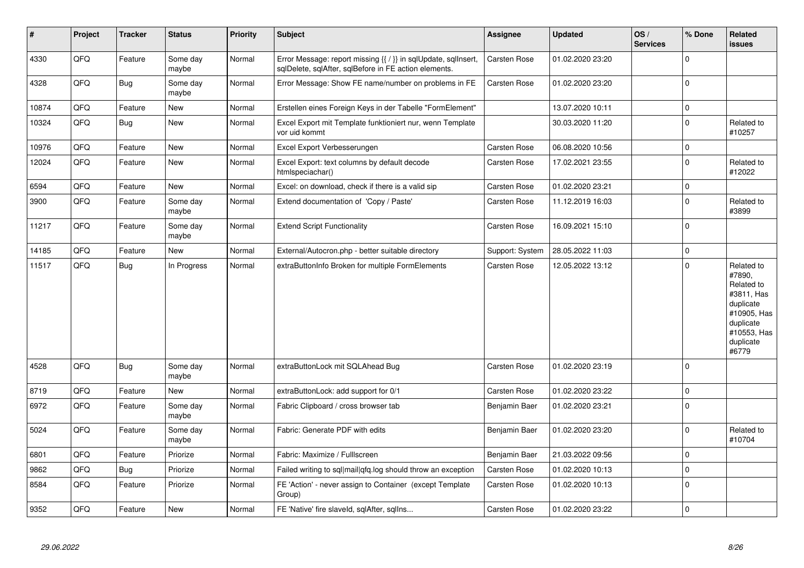| $\vert$ # | Project | <b>Tracker</b> | <b>Status</b>     | <b>Priority</b> | <b>Subject</b>                                                                                                          | Assignee            | <b>Updated</b>   | OS/<br><b>Services</b> | % Done      | Related<br><b>issues</b>                                                                                                       |
|-----------|---------|----------------|-------------------|-----------------|-------------------------------------------------------------------------------------------------------------------------|---------------------|------------------|------------------------|-------------|--------------------------------------------------------------------------------------------------------------------------------|
| 4330      | QFQ     | Feature        | Some day<br>maybe | Normal          | Error Message: report missing {{ / }} in sqlUpdate, sqlInsert,<br>sqlDelete, sqlAfter, sqlBefore in FE action elements. | Carsten Rose        | 01.02.2020 23:20 |                        | $\Omega$    |                                                                                                                                |
| 4328      | QFQ     | Bug            | Some day<br>maybe | Normal          | Error Message: Show FE name/number on problems in FE                                                                    | Carsten Rose        | 01.02.2020 23:20 |                        | $\Omega$    |                                                                                                                                |
| 10874     | QFQ     | Feature        | New               | Normal          | Erstellen eines Foreign Keys in der Tabelle "FormElement"                                                               |                     | 13.07.2020 10:11 |                        | $\mathbf 0$ |                                                                                                                                |
| 10324     | QFQ     | Bug            | New               | Normal          | Excel Export mit Template funktioniert nur, wenn Template<br>vor uid kommt                                              |                     | 30.03.2020 11:20 |                        | $\Omega$    | Related to<br>#10257                                                                                                           |
| 10976     | QFQ     | Feature        | New               | Normal          | Excel Export Verbesserungen                                                                                             | Carsten Rose        | 06.08.2020 10:56 |                        | $\mathbf 0$ |                                                                                                                                |
| 12024     | QFQ     | Feature        | <b>New</b>        | Normal          | Excel Export: text columns by default decode<br>htmlspeciachar()                                                        | <b>Carsten Rose</b> | 17.02.2021 23:55 |                        | $\mathbf 0$ | Related to<br>#12022                                                                                                           |
| 6594      | QFQ     | Feature        | <b>New</b>        | Normal          | Excel: on download, check if there is a valid sip                                                                       | Carsten Rose        | 01.02.2020 23:21 |                        | $\mathbf 0$ |                                                                                                                                |
| 3900      | QFQ     | Feature        | Some day<br>maybe | Normal          | Extend documentation of 'Copy / Paste'                                                                                  | Carsten Rose        | 11.12.2019 16:03 |                        | $\mathbf 0$ | Related to<br>#3899                                                                                                            |
| 11217     | QFQ     | Feature        | Some day<br>maybe | Normal          | <b>Extend Script Functionality</b>                                                                                      | Carsten Rose        | 16.09.2021 15:10 |                        | $\Omega$    |                                                                                                                                |
| 14185     | QFQ     | Feature        | <b>New</b>        | Normal          | External/Autocron.php - better suitable directory                                                                       | Support: System     | 28.05.2022 11:03 |                        | $\mathbf 0$ |                                                                                                                                |
| 11517     | QFQ     | Bug            | In Progress       | Normal          | extraButtonInfo Broken for multiple FormElements                                                                        | Carsten Rose        | 12.05.2022 13:12 |                        | $\Omega$    | Related to<br>#7890,<br>Related to<br>#3811, Has<br>duplicate<br>#10905, Has<br>duplicate<br>#10553, Has<br>duplicate<br>#6779 |
| 4528      | QFQ     | Bug            | Some day<br>maybe | Normal          | extraButtonLock mit SQLAhead Bug                                                                                        | Carsten Rose        | 01.02.2020 23:19 |                        | $\Omega$    |                                                                                                                                |
| 8719      | QFQ     | Feature        | <b>New</b>        | Normal          | extraButtonLock: add support for 0/1                                                                                    | <b>Carsten Rose</b> | 01.02.2020 23:22 |                        | $\Omega$    |                                                                                                                                |
| 6972      | QFQ     | Feature        | Some day<br>maybe | Normal          | Fabric Clipboard / cross browser tab                                                                                    | Benjamin Baer       | 01.02.2020 23:21 |                        | $\Omega$    |                                                                                                                                |
| 5024      | QFQ     | Feature        | Some day<br>maybe | Normal          | Fabric: Generate PDF with edits                                                                                         | Benjamin Baer       | 01.02.2020 23:20 |                        | $\Omega$    | Related to<br>#10704                                                                                                           |
| 6801      | QFQ     | Feature        | Priorize          | Normal          | Fabric: Maximize / FullIscreen                                                                                          | Benjamin Baer       | 21.03.2022 09:56 |                        | $\Omega$    |                                                                                                                                |
| 9862      | QFQ     | Bug            | Priorize          | Normal          | Failed writing to sql mail qfq.log should throw an exception                                                            | Carsten Rose        | 01.02.2020 10:13 |                        | $\Omega$    |                                                                                                                                |
| 8584      | QFQ     | Feature        | Priorize          | Normal          | FE 'Action' - never assign to Container (except Template)<br>Group)                                                     | <b>Carsten Rose</b> | 01.02.2020 10:13 |                        | $\Omega$    |                                                                                                                                |
| 9352      | QFQ     | Feature        | New               | Normal          | FE 'Native' fire slaveld, sqlAfter, sqlIns                                                                              | Carsten Rose        | 01.02.2020 23:22 |                        | $\Omega$    |                                                                                                                                |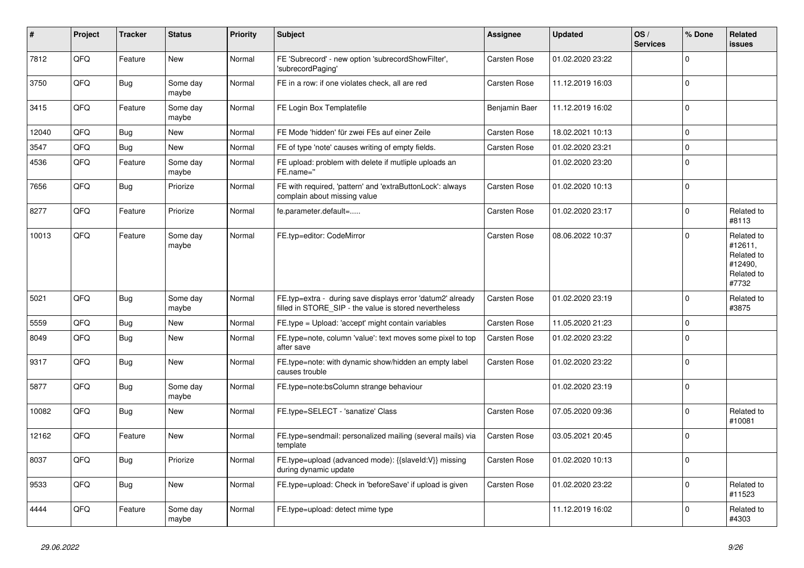| $\vert$ # | Project | <b>Tracker</b> | <b>Status</b>     | <b>Priority</b> | <b>Subject</b>                                                                                                       | Assignee            | <b>Updated</b>   | OS/<br><b>Services</b> | % Done      | Related<br>issues                                                     |
|-----------|---------|----------------|-------------------|-----------------|----------------------------------------------------------------------------------------------------------------------|---------------------|------------------|------------------------|-------------|-----------------------------------------------------------------------|
| 7812      | QFQ     | Feature        | <b>New</b>        | Normal          | FE 'Subrecord' - new option 'subrecordShowFilter',<br>'subrecordPaging'                                              | <b>Carsten Rose</b> | 01.02.2020 23:22 |                        | $\Omega$    |                                                                       |
| 3750      | QFQ     | Bug            | Some day<br>maybe | Normal          | FE in a row: if one violates check, all are red                                                                      | <b>Carsten Rose</b> | 11.12.2019 16:03 |                        | $\mathbf 0$ |                                                                       |
| 3415      | QFQ     | Feature        | Some day<br>maybe | Normal          | FE Login Box Templatefile                                                                                            | Benjamin Baer       | 11.12.2019 16:02 |                        | $\Omega$    |                                                                       |
| 12040     | QFQ     | Bug            | <b>New</b>        | Normal          | FE Mode 'hidden' für zwei FEs auf einer Zeile                                                                        | Carsten Rose        | 18.02.2021 10:13 |                        | $\mathbf 0$ |                                                                       |
| 3547      | QFQ     | <b>Bug</b>     | <b>New</b>        | Normal          | FE of type 'note' causes writing of empty fields.                                                                    | <b>Carsten Rose</b> | 01.02.2020 23:21 |                        | $\Omega$    |                                                                       |
| 4536      | QFQ     | Feature        | Some day<br>maybe | Normal          | FE upload: problem with delete if mutliple uploads an<br>FE.name="                                                   |                     | 01.02.2020 23:20 |                        | $\Omega$    |                                                                       |
| 7656      | QFQ     | Bug            | Priorize          | Normal          | FE with required, 'pattern' and 'extraButtonLock': always<br>complain about missing value                            | <b>Carsten Rose</b> | 01.02.2020 10:13 |                        | $\Omega$    |                                                                       |
| 8277      | QFQ     | Feature        | Priorize          | Normal          | fe.parameter.default=                                                                                                | Carsten Rose        | 01.02.2020 23:17 |                        | $\Omega$    | Related to<br>#8113                                                   |
| 10013     | QFQ     | Feature        | Some day<br>maybe | Normal          | FE.typ=editor: CodeMirror                                                                                            | Carsten Rose        | 08.06.2022 10:37 |                        | $\Omega$    | Related to<br>#12611,<br>Related to<br>#12490,<br>Related to<br>#7732 |
| 5021      | QFQ     | <b>Bug</b>     | Some day<br>maybe | Normal          | FE.typ=extra - during save displays error 'datum2' already<br>filled in STORE_SIP - the value is stored nevertheless | <b>Carsten Rose</b> | 01.02.2020 23:19 |                        | $\Omega$    | Related to<br>#3875                                                   |
| 5559      | QFQ     | <b>Bug</b>     | <b>New</b>        | Normal          | FE.type = Upload: 'accept' might contain variables                                                                   | Carsten Rose        | 11.05.2020 21:23 |                        | 0           |                                                                       |
| 8049      | QFQ     | <b>Bug</b>     | New               | Normal          | FE.type=note, column 'value': text moves some pixel to top<br>after save                                             | <b>Carsten Rose</b> | 01.02.2020 23:22 |                        | $\Omega$    |                                                                       |
| 9317      | QFQ     | Bug            | <b>New</b>        | Normal          | FE.type=note: with dynamic show/hidden an empty label<br>causes trouble                                              | Carsten Rose        | 01.02.2020 23:22 |                        | $\Omega$    |                                                                       |
| 5877      | QFQ     | Bug            | Some day<br>maybe | Normal          | FE.type=note:bsColumn strange behaviour                                                                              |                     | 01.02.2020 23:19 |                        | $\mathbf 0$ |                                                                       |
| 10082     | QFQ     | Bug            | New               | Normal          | FE.type=SELECT - 'sanatize' Class                                                                                    | Carsten Rose        | 07.05.2020 09:36 |                        | $\mathbf 0$ | Related to<br>#10081                                                  |
| 12162     | QFQ     | Feature        | <b>New</b>        | Normal          | FE.type=sendmail: personalized mailing (several mails) via<br>template                                               | <b>Carsten Rose</b> | 03.05.2021 20:45 |                        | $\Omega$    |                                                                       |
| 8037      | QFQ     | Bug            | Priorize          | Normal          | FE.type=upload (advanced mode): {{slaveId:V}} missing<br>during dynamic update                                       | Carsten Rose        | 01.02.2020 10:13 |                        | $\Omega$    |                                                                       |
| 9533      | QFQ     | <b>Bug</b>     | New               | Normal          | FE.type=upload: Check in 'beforeSave' if upload is given                                                             | Carsten Rose        | 01.02.2020 23:22 |                        | $\Omega$    | Related to<br>#11523                                                  |
| 4444      | QFQ     | Feature        | Some day<br>maybe | Normal          | FE.type=upload: detect mime type                                                                                     |                     | 11.12.2019 16:02 |                        | $\Omega$    | Related to<br>#4303                                                   |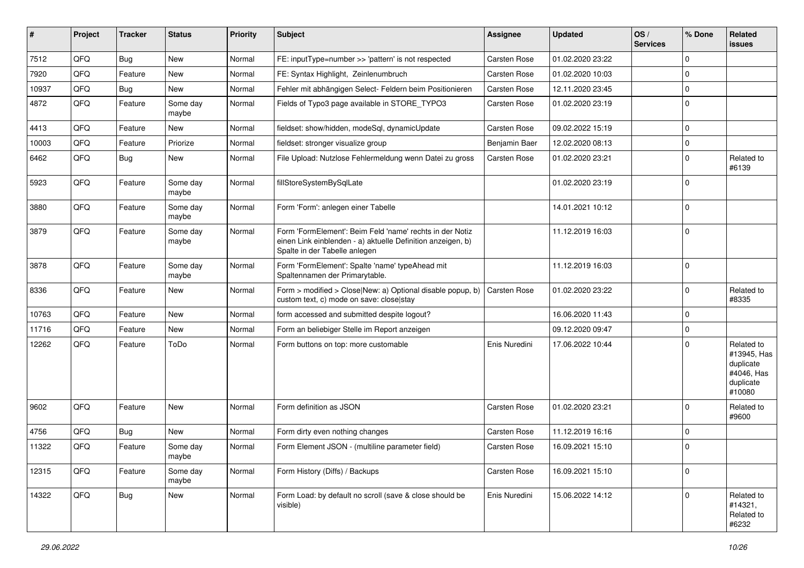| #     | Project | <b>Tracker</b> | <b>Status</b>     | Priority | <b>Subject</b>                                                                                                                                           | Assignee            | <b>Updated</b>   | OS/<br><b>Services</b> | % Done      | Related<br><b>issues</b>                                                    |
|-------|---------|----------------|-------------------|----------|----------------------------------------------------------------------------------------------------------------------------------------------------------|---------------------|------------------|------------------------|-------------|-----------------------------------------------------------------------------|
| 7512  | QFQ     | Bug            | <b>New</b>        | Normal   | FE: inputType=number >> 'pattern' is not respected                                                                                                       | Carsten Rose        | 01.02.2020 23:22 |                        | $\Omega$    |                                                                             |
| 7920  | QFQ     | Feature        | New               | Normal   | FE: Syntax Highlight, Zeinlenumbruch                                                                                                                     | Carsten Rose        | 01.02.2020 10:03 |                        | $\mathbf 0$ |                                                                             |
| 10937 | QFQ     | Bug            | New               | Normal   | Fehler mit abhängigen Select- Feldern beim Positionieren                                                                                                 | Carsten Rose        | 12.11.2020 23:45 |                        | $\Omega$    |                                                                             |
| 4872  | QFQ     | Feature        | Some day<br>maybe | Normal   | Fields of Typo3 page available in STORE_TYPO3                                                                                                            | Carsten Rose        | 01.02.2020 23:19 |                        | $\Omega$    |                                                                             |
| 4413  | QFQ     | Feature        | <b>New</b>        | Normal   | fieldset: show/hidden, modeSql, dynamicUpdate                                                                                                            | Carsten Rose        | 09.02.2022 15:19 |                        | $\Omega$    |                                                                             |
| 10003 | QFQ     | Feature        | Priorize          | Normal   | fieldset: stronger visualize group                                                                                                                       | Benjamin Baer       | 12.02.2020 08:13 |                        | $\mathbf 0$ |                                                                             |
| 6462  | QFQ     | Bug            | New               | Normal   | File Upload: Nutzlose Fehlermeldung wenn Datei zu gross                                                                                                  | Carsten Rose        | 01.02.2020 23:21 |                        | $\Omega$    | Related to<br>#6139                                                         |
| 5923  | QFQ     | Feature        | Some day<br>maybe | Normal   | fillStoreSystemBySqlLate                                                                                                                                 |                     | 01.02.2020 23:19 |                        | $\mathbf 0$ |                                                                             |
| 3880  | QFQ     | Feature        | Some day<br>maybe | Normal   | Form 'Form': anlegen einer Tabelle                                                                                                                       |                     | 14.01.2021 10:12 |                        | 0           |                                                                             |
| 3879  | QFQ     | Feature        | Some day<br>maybe | Normal   | Form 'FormElement': Beim Feld 'name' rechts in der Notiz<br>einen Link einblenden - a) aktuelle Definition anzeigen, b)<br>Spalte in der Tabelle anlegen |                     | 11.12.2019 16:03 |                        | 0           |                                                                             |
| 3878  | QFQ     | Feature        | Some day<br>maybe | Normal   | Form 'FormElement': Spalte 'name' typeAhead mit<br>Spaltennamen der Primarytable.                                                                        |                     | 11.12.2019 16:03 |                        | 0           |                                                                             |
| 8336  | QFQ     | Feature        | New               | Normal   | Form > modified > Close New: a) Optional disable popup, b)<br>custom text, c) mode on save: close stay                                                   | <b>Carsten Rose</b> | 01.02.2020 23:22 |                        | $\Omega$    | Related to<br>#8335                                                         |
| 10763 | QFQ     | Feature        | New               | Normal   | form accessed and submitted despite logout?                                                                                                              |                     | 16.06.2020 11:43 |                        | $\mathbf 0$ |                                                                             |
| 11716 | QFQ     | Feature        | New               | Normal   | Form an beliebiger Stelle im Report anzeigen                                                                                                             |                     | 09.12.2020 09:47 |                        | $\Omega$    |                                                                             |
| 12262 | QFQ     | Feature        | ToDo              | Normal   | Form buttons on top: more customable                                                                                                                     | Enis Nuredini       | 17.06.2022 10:44 |                        | $\Omega$    | Related to<br>#13945, Has<br>duplicate<br>#4046, Has<br>duplicate<br>#10080 |
| 9602  | QFQ     | Feature        | New               | Normal   | Form definition as JSON                                                                                                                                  | <b>Carsten Rose</b> | 01.02.2020 23:21 |                        | $\Omega$    | Related to<br>#9600                                                         |
| 4756  | QFQ     | Bug            | New               | Normal   | Form dirty even nothing changes                                                                                                                          | Carsten Rose        | 11.12.2019 16:16 |                        | $\mathbf 0$ |                                                                             |
| 11322 | QFQ     | Feature        | Some day<br>maybe | Normal   | Form Element JSON - (multiline parameter field)                                                                                                          | Carsten Rose        | 16.09.2021 15:10 |                        | $\mathbf 0$ |                                                                             |
| 12315 | QFQ     | Feature        | Some day<br>maybe | Normal   | Form History (Diffs) / Backups                                                                                                                           | Carsten Rose        | 16.09.2021 15:10 |                        | 0           |                                                                             |
| 14322 | QFQ     | Bug            | New               | Normal   | Form Load: by default no scroll (save & close should be<br>visible)                                                                                      | Enis Nuredini       | 15.06.2022 14:12 |                        | $\Omega$    | Related to<br>#14321,<br>Related to<br>#6232                                |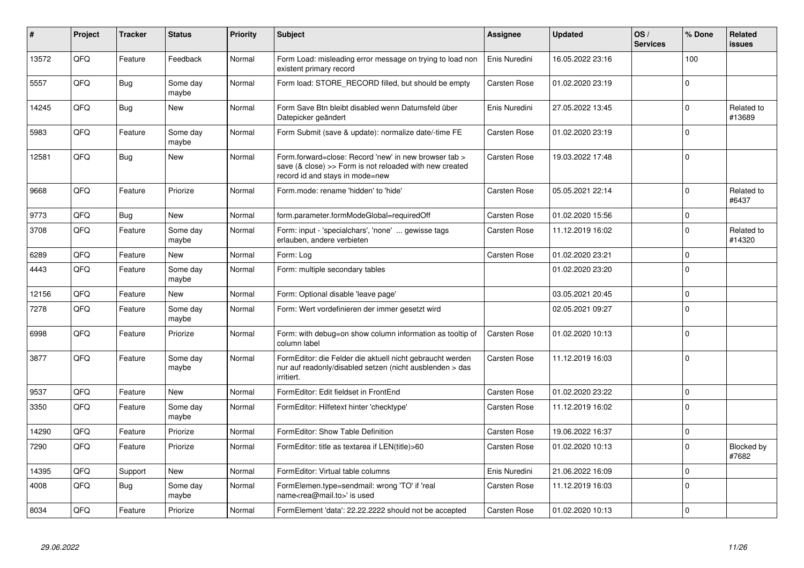| $\vert$ # | Project | <b>Tracker</b> | <b>Status</b>     | <b>Priority</b> | <b>Subject</b>                                                                                                                                      | Assignee            | <b>Updated</b>   | OS/<br><b>Services</b> | % Done      | Related<br><b>issues</b>   |
|-----------|---------|----------------|-------------------|-----------------|-----------------------------------------------------------------------------------------------------------------------------------------------------|---------------------|------------------|------------------------|-------------|----------------------------|
| 13572     | QFQ     | Feature        | Feedback          | Normal          | Form Load: misleading error message on trying to load non<br>existent primary record                                                                | Enis Nuredini       | 16.05.2022 23:16 |                        | 100         |                            |
| 5557      | QFQ     | <b>Bug</b>     | Some day<br>maybe | Normal          | Form load: STORE_RECORD filled, but should be empty                                                                                                 | Carsten Rose        | 01.02.2020 23:19 |                        | $\Omega$    |                            |
| 14245     | QFQ     | <b>Bug</b>     | <b>New</b>        | Normal          | Form Save Btn bleibt disabled wenn Datumsfeld über<br>Datepicker geändert                                                                           | Enis Nuredini       | 27.05.2022 13:45 |                        | $\Omega$    | Related to<br>#13689       |
| 5983      | QFQ     | Feature        | Some day<br>maybe | Normal          | Form Submit (save & update): normalize date/-time FE                                                                                                | Carsten Rose        | 01.02.2020 23:19 |                        | $\Omega$    |                            |
| 12581     | QFQ     | Bug            | <b>New</b>        | Normal          | Form forward=close: Record 'new' in new browser tab ><br>save (& close) >> Form is not reloaded with new created<br>record id and stays in mode=new | <b>Carsten Rose</b> | 19.03.2022 17:48 |                        | $\Omega$    |                            |
| 9668      | QFQ     | Feature        | Priorize          | Normal          | Form.mode: rename 'hidden' to 'hide'                                                                                                                | <b>Carsten Rose</b> | 05.05.2021 22:14 |                        | $\Omega$    | Related to<br>#6437        |
| 9773      | QFQ     | <b>Bug</b>     | <b>New</b>        | Normal          | form.parameter.formModeGlobal=requiredOff                                                                                                           | <b>Carsten Rose</b> | 01.02.2020 15:56 |                        | $\Omega$    |                            |
| 3708      | QFQ     | Feature        | Some day<br>maybe | Normal          | Form: input - 'specialchars', 'none'  gewisse tags<br>erlauben, andere verbieten                                                                    | Carsten Rose        | 11.12.2019 16:02 |                        | $\Omega$    | Related to<br>#14320       |
| 6289      | QFQ     | Feature        | <b>New</b>        | Normal          | Form: Log                                                                                                                                           | <b>Carsten Rose</b> | 01.02.2020 23:21 |                        | $\Omega$    |                            |
| 4443      | QFQ     | Feature        | Some day<br>maybe | Normal          | Form: multiple secondary tables                                                                                                                     |                     | 01.02.2020 23:20 |                        | $\Omega$    |                            |
| 12156     | QFQ     | Feature        | <b>New</b>        | Normal          | Form: Optional disable 'leave page'                                                                                                                 |                     | 03.05.2021 20:45 |                        | $\mathbf 0$ |                            |
| 7278      | QFQ     | Feature        | Some day<br>maybe | Normal          | Form: Wert vordefinieren der immer gesetzt wird                                                                                                     |                     | 02.05.2021 09:27 |                        | $\Omega$    |                            |
| 6998      | QFQ     | Feature        | Priorize          | Normal          | Form: with debug=on show column information as tooltip of<br>column label                                                                           | <b>Carsten Rose</b> | 01.02.2020 10:13 |                        | $\Omega$    |                            |
| 3877      | QFQ     | Feature        | Some day<br>maybe | Normal          | FormEditor: die Felder die aktuell nicht gebraucht werden<br>nur auf readonly/disabled setzen (nicht ausblenden > das<br>irritiert.                 | Carsten Rose        | 11.12.2019 16:03 |                        | $\mathbf 0$ |                            |
| 9537      | QFQ     | Feature        | <b>New</b>        | Normal          | FormEditor: Edit fieldset in FrontEnd                                                                                                               | <b>Carsten Rose</b> | 01.02.2020 23:22 |                        | $\Omega$    |                            |
| 3350      | QFQ     | Feature        | Some day<br>maybe | Normal          | FormEditor: Hilfetext hinter 'checktype'                                                                                                            | <b>Carsten Rose</b> | 11.12.2019 16:02 |                        | $\Omega$    |                            |
| 14290     | QFQ     | Feature        | Priorize          | Normal          | FormEditor: Show Table Definition                                                                                                                   | <b>Carsten Rose</b> | 19.06.2022 16:37 |                        | $\Omega$    |                            |
| 7290      | QFQ     | Feature        | Priorize          | Normal          | FormEditor: title as textarea if LEN(title)>60                                                                                                      | <b>Carsten Rose</b> | 01.02.2020 10:13 |                        | $\Omega$    | <b>Blocked by</b><br>#7682 |
| 14395     | QFQ     | Support        | <b>New</b>        | Normal          | FormEditor: Virtual table columns                                                                                                                   | Enis Nuredini       | 21.06.2022 16:09 |                        | $\Omega$    |                            |
| 4008      | QFQ     | <b>Bug</b>     | Some day<br>maybe | Normal          | FormElemen.type=sendmail: wrong 'TO' if 'real<br>name <rea@mail.to>' is used</rea@mail.to>                                                          | <b>Carsten Rose</b> | 11.12.2019 16:03 |                        | $\Omega$    |                            |
| 8034      | QFQ     | Feature        | Priorize          | Normal          | FormElement 'data': 22.22.2222 should not be accepted                                                                                               | Carsten Rose        | 01.02.2020 10:13 |                        | $\Omega$    |                            |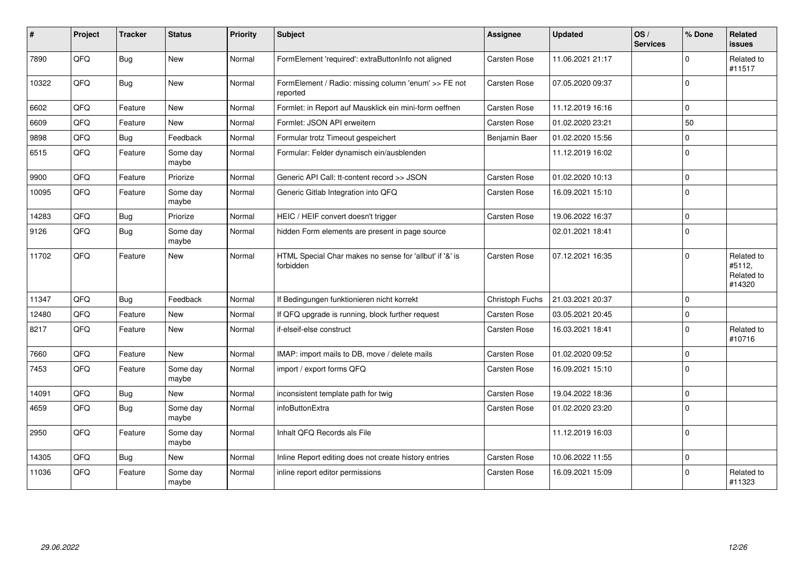| ∦     | Project    | <b>Tracker</b> | <b>Status</b>     | <b>Priority</b> | Subject                                                              | <b>Assignee</b> | <b>Updated</b>   | OS/<br><b>Services</b> | % Done       | <b>Related</b><br><b>issues</b>              |
|-------|------------|----------------|-------------------|-----------------|----------------------------------------------------------------------|-----------------|------------------|------------------------|--------------|----------------------------------------------|
| 7890  | QFQ        | Bug            | <b>New</b>        | Normal          | FormElement 'required': extraButtonInfo not aligned                  | Carsten Rose    | 11.06.2021 21:17 |                        | $\Omega$     | Related to<br>#11517                         |
| 10322 | QFQ        | Bug            | New               | Normal          | FormElement / Radio: missing column 'enum' >> FE not<br>reported     | Carsten Rose    | 07.05.2020 09:37 |                        | $\Omega$     |                                              |
| 6602  | QFQ        | Feature        | <b>New</b>        | Normal          | Formlet: in Report auf Mausklick ein mini-form oeffnen               | Carsten Rose    | 11.12.2019 16:16 |                        | $\Omega$     |                                              |
| 6609  | QFQ        | Feature        | <b>New</b>        | Normal          | Formlet: JSON API erweitern                                          | Carsten Rose    | 01.02.2020 23:21 |                        | 50           |                                              |
| 9898  | QFQ        | <b>Bug</b>     | Feedback          | Normal          | Formular trotz Timeout gespeichert                                   | Benjamin Baer   | 01.02.2020 15:56 |                        | $\mathbf 0$  |                                              |
| 6515  | QFQ        | Feature        | Some day<br>maybe | Normal          | Formular: Felder dynamisch ein/ausblenden                            |                 | 11.12.2019 16:02 |                        | $\Omega$     |                                              |
| 9900  | QFQ        | Feature        | Priorize          | Normal          | Generic API Call: tt-content record >> JSON                          | Carsten Rose    | 01.02.2020 10:13 |                        | $\mathbf 0$  |                                              |
| 10095 | QFQ        | Feature        | Some day<br>maybe | Normal          | Generic Gitlab Integration into QFQ                                  | Carsten Rose    | 16.09.2021 15:10 |                        | $\mathbf{0}$ |                                              |
| 14283 | QFQ        | <b>Bug</b>     | Priorize          | Normal          | HEIC / HEIF convert doesn't trigger                                  | Carsten Rose    | 19.06.2022 16:37 |                        | $\Omega$     |                                              |
| 9126  | QFQ        | Bug            | Some day<br>maybe | Normal          | hidden Form elements are present in page source                      |                 | 02.01.2021 18:41 |                        | $\Omega$     |                                              |
| 11702 | QFQ        | Feature        | <b>New</b>        | Normal          | HTML Special Char makes no sense for 'allbut' if '&' is<br>forbidden | Carsten Rose    | 07.12.2021 16:35 |                        | $\Omega$     | Related to<br>#5112,<br>Related to<br>#14320 |
| 11347 | QFQ        | Bug            | Feedback          | Normal          | If Bedingungen funktionieren nicht korrekt                           | Christoph Fuchs | 21.03.2021 20:37 |                        | $\mathbf 0$  |                                              |
| 12480 | QFQ        | Feature        | <b>New</b>        | Normal          | If QFQ upgrade is running, block further request                     | Carsten Rose    | 03.05.2021 20:45 |                        | $\mathbf 0$  |                                              |
| 8217  | QFQ        | Feature        | <b>New</b>        | Normal          | if-elseif-else construct                                             | Carsten Rose    | 16.03.2021 18:41 |                        | $\Omega$     | Related to<br>#10716                         |
| 7660  | QFQ        | Feature        | <b>New</b>        | Normal          | IMAP: import mails to DB, move / delete mails                        | Carsten Rose    | 01.02.2020 09:52 |                        | 0            |                                              |
| 7453  | QFQ        | Feature        | Some day<br>maybe | Normal          | import / export forms QFQ                                            | Carsten Rose    | 16.09.2021 15:10 |                        | $\Omega$     |                                              |
| 14091 | <b>OFO</b> | Bug            | <b>New</b>        | Normal          | inconsistent template path for twig                                  | Carsten Rose    | 19.04.2022 18:36 |                        | $\Omega$     |                                              |
| 4659  | QFQ        | Bug            | Some day<br>maybe | Normal          | infoButtonExtra                                                      | Carsten Rose    | 01.02.2020 23:20 |                        | $\mathbf 0$  |                                              |
| 2950  | QFQ        | Feature        | Some day<br>maybe | Normal          | Inhalt QFQ Records als File                                          |                 | 11.12.2019 16:03 |                        | $\Omega$     |                                              |
| 14305 | QFQ        | Bug            | New               | Normal          | Inline Report editing does not create history entries                | Carsten Rose    | 10.06.2022 11:55 |                        | $\mathbf 0$  |                                              |
| 11036 | QFQ        | Feature        | Some day<br>maybe | Normal          | inline report editor permissions                                     | Carsten Rose    | 16.09.2021 15:09 |                        | $\mathbf 0$  | Related to<br>#11323                         |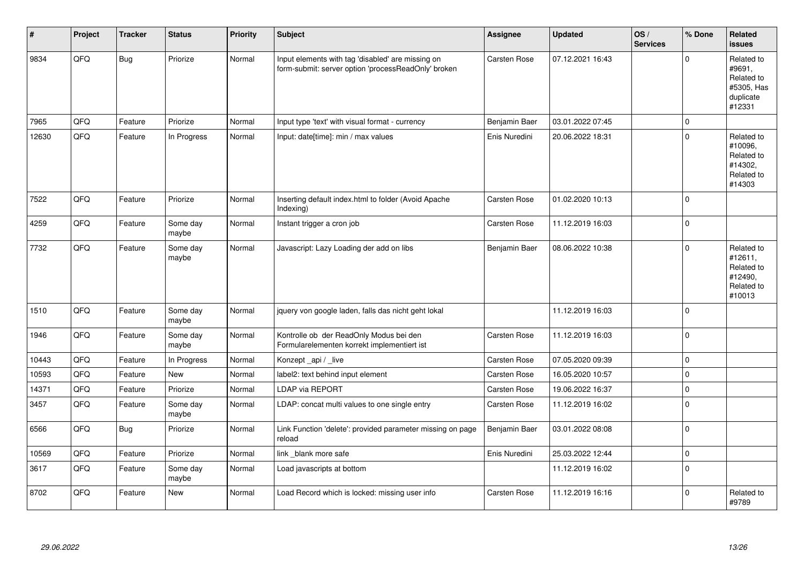| #     | Project | <b>Tracker</b> | <b>Status</b>     | <b>Priority</b> | <b>Subject</b>                                                                                           | <b>Assignee</b> | <b>Updated</b>   | OS/<br><b>Services</b> | % Done              | Related<br><b>issues</b>                                                |
|-------|---------|----------------|-------------------|-----------------|----------------------------------------------------------------------------------------------------------|-----------------|------------------|------------------------|---------------------|-------------------------------------------------------------------------|
| 9834  | QFQ     | <b>Bug</b>     | Priorize          | Normal          | Input elements with tag 'disabled' are missing on<br>form-submit: server option 'processReadOnly' broken | Carsten Rose    | 07.12.2021 16:43 |                        | $\Omega$            | Related to<br>#9691,<br>Related to<br>#5305, Has<br>duplicate<br>#12331 |
| 7965  | QFQ     | Feature        | Priorize          | Normal          | Input type 'text' with visual format - currency                                                          | Benjamin Baer   | 03.01.2022 07:45 |                        | $\mathsf{O}\xspace$ |                                                                         |
| 12630 | QFG     | Feature        | In Progress       | Normal          | Input: date[time]: min / max values                                                                      | Enis Nuredini   | 20.06.2022 18:31 |                        | $\mathbf 0$         | Related to<br>#10096,<br>Related to<br>#14302,<br>Related to<br>#14303  |
| 7522  | QFQ     | Feature        | Priorize          | Normal          | Inserting default index.html to folder (Avoid Apache<br>Indexing)                                        | Carsten Rose    | 01.02.2020 10:13 |                        | $\mathbf 0$         |                                                                         |
| 4259  | QFQ     | Feature        | Some day<br>maybe | Normal          | Instant trigger a cron job                                                                               | Carsten Rose    | 11.12.2019 16:03 |                        | $\pmb{0}$           |                                                                         |
| 7732  | QFQ     | Feature        | Some day<br>maybe | Normal          | Javascript: Lazy Loading der add on libs                                                                 | Benjamin Baer   | 08.06.2022 10:38 |                        | $\mathbf 0$         | Related to<br>#12611,<br>Related to<br>#12490,<br>Related to<br>#10013  |
| 1510  | QFQ     | Feature        | Some day<br>maybe | Normal          | jquery von google laden, falls das nicht geht lokal                                                      |                 | 11.12.2019 16:03 |                        | $\pmb{0}$           |                                                                         |
| 1946  | QFQ     | Feature        | Some day<br>maybe | Normal          | Kontrolle ob der ReadOnly Modus bei den<br>Formularelementen korrekt implementiert ist                   | Carsten Rose    | 11.12.2019 16:03 |                        | $\pmb{0}$           |                                                                         |
| 10443 | QFQ     | Feature        | In Progress       | Normal          | Konzept_api / _live                                                                                      | Carsten Rose    | 07.05.2020 09:39 |                        | $\mathbf 0$         |                                                                         |
| 10593 | QFQ     | Feature        | <b>New</b>        | Normal          | label2: text behind input element                                                                        | Carsten Rose    | 16.05.2020 10:57 |                        | $\pmb{0}$           |                                                                         |
| 14371 | QFQ     | Feature        | Priorize          | Normal          | LDAP via REPORT                                                                                          | Carsten Rose    | 19.06.2022 16:37 |                        | $\pmb{0}$           |                                                                         |
| 3457  | QFQ     | Feature        | Some day<br>maybe | Normal          | LDAP: concat multi values to one single entry                                                            | Carsten Rose    | 11.12.2019 16:02 |                        | $\mathbf 0$         |                                                                         |
| 6566  | QFQ     | <b>Bug</b>     | Priorize          | Normal          | Link Function 'delete': provided parameter missing on page<br>reload                                     | Benjamin Baer   | 03.01.2022 08:08 |                        | $\mathbf 0$         |                                                                         |
| 10569 | QFQ     | Feature        | Priorize          | Normal          | link blank more safe                                                                                     | Enis Nuredini   | 25.03.2022 12:44 |                        | $\mathsf{O}\xspace$ |                                                                         |
| 3617  | QFQ     | Feature        | Some day<br>maybe | Normal          | Load javascripts at bottom                                                                               |                 | 11.12.2019 16:02 |                        | $\mathbf 0$         |                                                                         |
| 8702  | QFQ     | Feature        | <b>New</b>        | Normal          | Load Record which is locked: missing user info                                                           | Carsten Rose    | 11.12.2019 16:16 |                        | $\mathbf 0$         | Related to<br>#9789                                                     |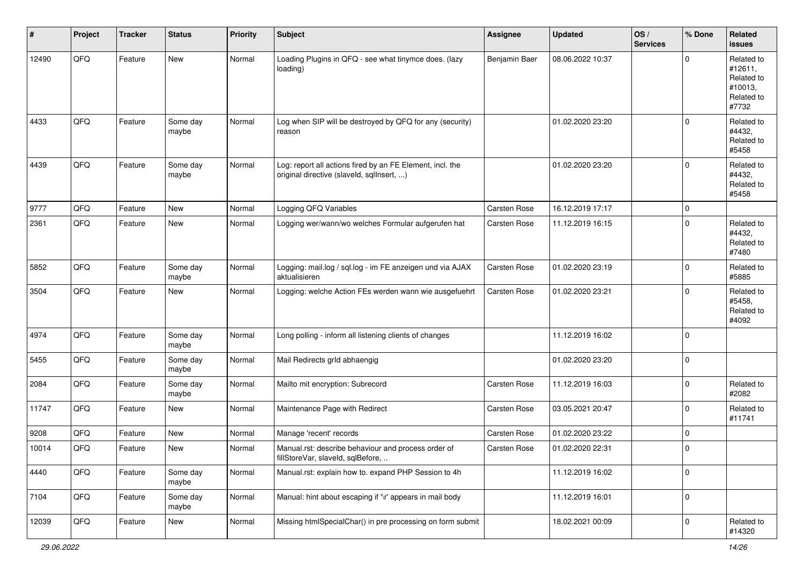| #     | Project | <b>Tracker</b> | <b>Status</b>     | <b>Priority</b> | <b>Subject</b>                                                                                         | <b>Assignee</b> | <b>Updated</b>   | OS/<br><b>Services</b> | % Done      | Related<br>issues                                                     |
|-------|---------|----------------|-------------------|-----------------|--------------------------------------------------------------------------------------------------------|-----------------|------------------|------------------------|-------------|-----------------------------------------------------------------------|
| 12490 | QFQ     | Feature        | New               | Normal          | Loading Plugins in QFQ - see what tinymce does. (lazy<br>loading)                                      | Benjamin Baer   | 08.06.2022 10:37 |                        | $\Omega$    | Related to<br>#12611,<br>Related to<br>#10013,<br>Related to<br>#7732 |
| 4433  | QFQ     | Feature        | Some day<br>maybe | Normal          | Log when SIP will be destroyed by QFQ for any (security)<br>reason                                     |                 | 01.02.2020 23:20 |                        | $\Omega$    | Related to<br>#4432,<br>Related to<br>#5458                           |
| 4439  | QFQ     | Feature        | Some day<br>maybe | Normal          | Log: report all actions fired by an FE Element, incl. the<br>original directive (slaveld, sqllnsert, ) |                 | 01.02.2020 23:20 |                        | 0           | Related to<br>#4432,<br>Related to<br>#5458                           |
| 9777  | QFQ     | Feature        | New               | Normal          | Logging QFQ Variables                                                                                  | Carsten Rose    | 16.12.2019 17:17 |                        | $\mathbf 0$ |                                                                       |
| 2361  | QFQ     | Feature        | New               | Normal          | Logging wer/wann/wo welches Formular aufgerufen hat                                                    | Carsten Rose    | 11.12.2019 16:15 |                        | $\Omega$    | Related to<br>#4432,<br>Related to<br>#7480                           |
| 5852  | QFQ     | Feature        | Some day<br>maybe | Normal          | Logging: mail.log / sql.log - im FE anzeigen und via AJAX<br>aktualisieren                             | Carsten Rose    | 01.02.2020 23:19 |                        | $\mathbf 0$ | Related to<br>#5885                                                   |
| 3504  | QFQ     | Feature        | New               | Normal          | Logging: welche Action FEs werden wann wie ausgefuehrt                                                 | Carsten Rose    | 01.02.2020 23:21 |                        | $\Omega$    | Related to<br>#5458,<br>Related to<br>#4092                           |
| 4974  | QFQ     | Feature        | Some day<br>maybe | Normal          | Long polling - inform all listening clients of changes                                                 |                 | 11.12.2019 16:02 |                        | $\mathbf 0$ |                                                                       |
| 5455  | QFQ     | Feature        | Some day<br>maybe | Normal          | Mail Redirects grld abhaengig                                                                          |                 | 01.02.2020 23:20 |                        | $\mathbf 0$ |                                                                       |
| 2084  | QFQ     | Feature        | Some day<br>maybe | Normal          | Mailto mit encryption: Subrecord                                                                       | Carsten Rose    | 11.12.2019 16:03 |                        | $\mathbf 0$ | Related to<br>#2082                                                   |
| 11747 | QFQ     | Feature        | New               | Normal          | Maintenance Page with Redirect                                                                         | Carsten Rose    | 03.05.2021 20:47 |                        | $\mathbf 0$ | Related to<br>#11741                                                  |
| 9208  | QFQ     | Feature        | New               | Normal          | Manage 'recent' records                                                                                | Carsten Rose    | 01.02.2020 23:22 |                        | $\mathbf 0$ |                                                                       |
| 10014 | QFQ     | Feature        | New               | Normal          | Manual.rst: describe behaviour and process order of<br>fillStoreVar, slaveId, sqlBefore,               | Carsten Rose    | 01.02.2020 22:31 |                        | 0           |                                                                       |
| 4440  | QFG     | Feature        | Some day<br>maybe | Normal          | Manual.rst: explain how to. expand PHP Session to 4h                                                   |                 | 11.12.2019 16:02 |                        | $\mathbf 0$ |                                                                       |
| 7104  | QFQ     | Feature        | Some day<br>maybe | Normal          | Manual: hint about escaping if '\r' appears in mail body                                               |                 | 11.12.2019 16:01 |                        | $\mathbf 0$ |                                                                       |
| 12039 | QFG     | Feature        | New               | Normal          | Missing htmlSpecialChar() in pre processing on form submit                                             |                 | 18.02.2021 00:09 |                        | $\mathbf 0$ | Related to<br>#14320                                                  |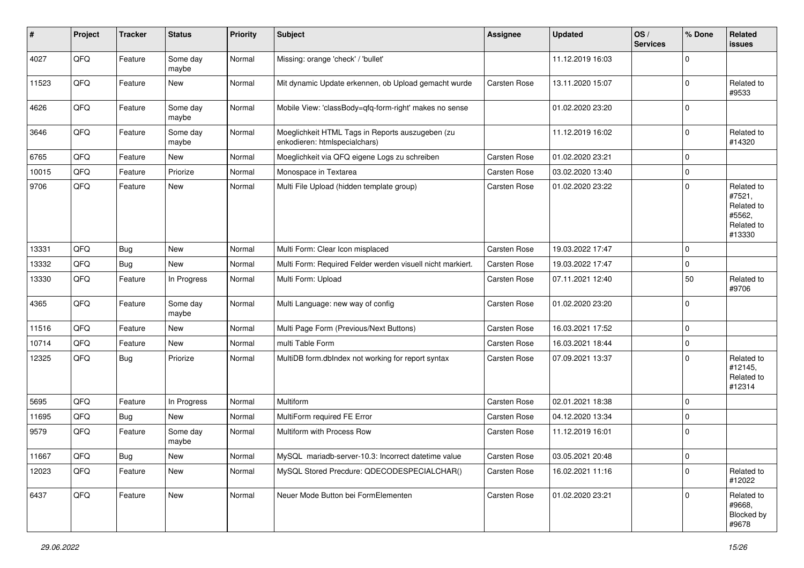| $\sharp$ | Project | <b>Tracker</b> | <b>Status</b>     | <b>Priority</b> | Subject                                                                           | <b>Assignee</b> | <b>Updated</b>   | OS/<br><b>Services</b> | % Done      | Related<br>issues                                                    |
|----------|---------|----------------|-------------------|-----------------|-----------------------------------------------------------------------------------|-----------------|------------------|------------------------|-------------|----------------------------------------------------------------------|
| 4027     | QFQ     | Feature        | Some day<br>maybe | Normal          | Missing: orange 'check' / 'bullet'                                                |                 | 11.12.2019 16:03 |                        | $\mathbf 0$ |                                                                      |
| 11523    | QFQ     | Feature        | New               | Normal          | Mit dynamic Update erkennen, ob Upload gemacht wurde                              | Carsten Rose    | 13.11.2020 15:07 |                        | $\mathbf 0$ | Related to<br>#9533                                                  |
| 4626     | QFQ     | Feature        | Some day<br>maybe | Normal          | Mobile View: 'classBody=qfq-form-right' makes no sense                            |                 | 01.02.2020 23:20 |                        | $\Omega$    |                                                                      |
| 3646     | QFQ     | Feature        | Some day<br>maybe | Normal          | Moeglichkeit HTML Tags in Reports auszugeben (zu<br>enkodieren: htmlspecialchars) |                 | 11.12.2019 16:02 |                        | $\mathbf 0$ | Related to<br>#14320                                                 |
| 6765     | QFQ     | Feature        | <b>New</b>        | Normal          | Moeglichkeit via QFQ eigene Logs zu schreiben                                     | Carsten Rose    | 01.02.2020 23:21 |                        | $\mathbf 0$ |                                                                      |
| 10015    | QFQ     | Feature        | Priorize          | Normal          | Monospace in Textarea                                                             | Carsten Rose    | 03.02.2020 13:40 |                        | 0           |                                                                      |
| 9706     | QFQ     | Feature        | New               | Normal          | Multi File Upload (hidden template group)                                         | Carsten Rose    | 01.02.2020 23:22 |                        | $\mathbf 0$ | Related to<br>#7521,<br>Related to<br>#5562,<br>Related to<br>#13330 |
| 13331    | QFQ     | Bug            | <b>New</b>        | Normal          | Multi Form: Clear Icon misplaced                                                  | Carsten Rose    | 19.03.2022 17:47 |                        | $\mathbf 0$ |                                                                      |
| 13332    | QFQ     | Bug            | New               | Normal          | Multi Form: Required Felder werden visuell nicht markiert.                        | Carsten Rose    | 19.03.2022 17:47 |                        | $\mathbf 0$ |                                                                      |
| 13330    | QFQ     | Feature        | In Progress       | Normal          | Multi Form: Upload                                                                | Carsten Rose    | 07.11.2021 12:40 |                        | 50          | Related to<br>#9706                                                  |
| 4365     | QFQ     | Feature        | Some day<br>maybe | Normal          | Multi Language: new way of config                                                 | Carsten Rose    | 01.02.2020 23:20 |                        | $\mathbf 0$ |                                                                      |
| 11516    | QFQ     | Feature        | <b>New</b>        | Normal          | Multi Page Form (Previous/Next Buttons)                                           | Carsten Rose    | 16.03.2021 17:52 |                        | $\mathbf 0$ |                                                                      |
| 10714    | QFQ     | Feature        | New               | Normal          | multi Table Form                                                                  | Carsten Rose    | 16.03.2021 18:44 |                        | 0           |                                                                      |
| 12325    | QFQ     | Bug            | Priorize          | Normal          | MultiDB form.dblndex not working for report syntax                                | Carsten Rose    | 07.09.2021 13:37 |                        | $\Omega$    | Related to<br>#12145,<br>Related to<br>#12314                        |
| 5695     | QFQ     | Feature        | In Progress       | Normal          | Multiform                                                                         | Carsten Rose    | 02.01.2021 18:38 |                        | $\mathbf 0$ |                                                                      |
| 11695    | QFQ     | Bug            | New               | Normal          | MultiForm required FE Error                                                       | Carsten Rose    | 04.12.2020 13:34 |                        | $\Omega$    |                                                                      |
| 9579     | QFQ     | Feature        | Some day<br>maybe | Normal          | Multiform with Process Row                                                        | Carsten Rose    | 11.12.2019 16:01 |                        | l 0         |                                                                      |
| 11667    | QFG     | Bug            | New               | Normal          | MySQL mariadb-server-10.3: Incorrect datetime value                               | Carsten Rose    | 03.05.2021 20:48 |                        | O           |                                                                      |
| 12023    | QFQ     | Feature        | New               | Normal          | MySQL Stored Precdure: QDECODESPECIALCHAR()                                       | Carsten Rose    | 16.02.2021 11:16 |                        | $\mathbf 0$ | Related to<br>#12022                                                 |
| 6437     | QFQ     | Feature        | New               | Normal          | Neuer Mode Button bei FormElementen                                               | Carsten Rose    | 01.02.2020 23:21 |                        | $\mathbf 0$ | Related to<br>#9668,<br>Blocked by<br>#9678                          |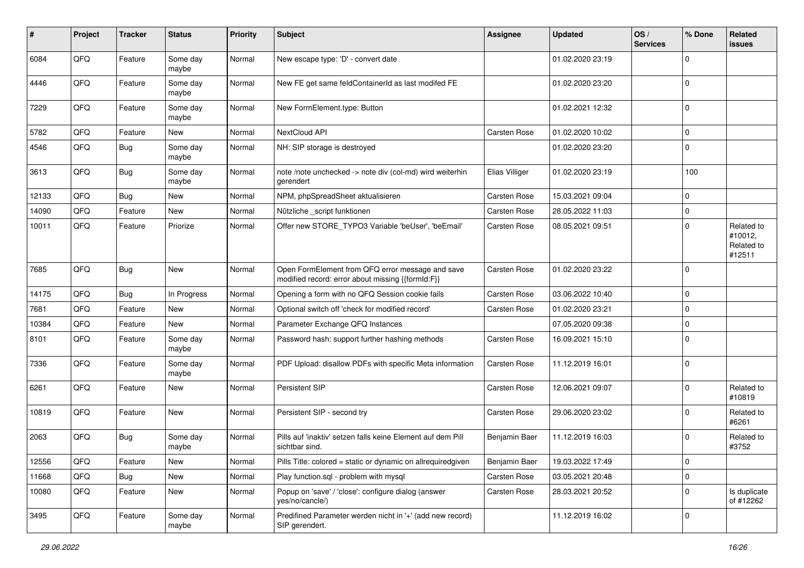| $\sharp$ | Project | <b>Tracker</b> | <b>Status</b>     | <b>Priority</b> | <b>Subject</b>                                                                                        | Assignee            | <b>Updated</b>   | OS/<br><b>Services</b> | % Done      | Related<br>issues                             |
|----------|---------|----------------|-------------------|-----------------|-------------------------------------------------------------------------------------------------------|---------------------|------------------|------------------------|-------------|-----------------------------------------------|
| 6084     | QFQ     | Feature        | Some day<br>maybe | Normal          | New escape type: 'D' - convert date                                                                   |                     | 01.02.2020 23:19 |                        | $\Omega$    |                                               |
| 4446     | QFQ     | Feature        | Some day<br>maybe | Normal          | New FE get same feldContainerId as last modifed FE                                                    |                     | 01.02.2020 23:20 |                        | 0           |                                               |
| 7229     | QFQ     | Feature        | Some day<br>maybe | Normal          | New FormElement.type: Button                                                                          |                     | 01.02.2021 12:32 |                        | $\Omega$    |                                               |
| 5782     | QFQ     | Feature        | New               | Normal          | NextCloud API                                                                                         | Carsten Rose        | 01.02.2020 10:02 |                        | $\mathbf 0$ |                                               |
| 4546     | QFQ     | Bug            | Some day<br>maybe | Normal          | NH: SIP storage is destroyed                                                                          |                     | 01.02.2020 23:20 |                        | $\Omega$    |                                               |
| 3613     | QFQ     | Bug            | Some day<br>maybe | Normal          | note /note unchecked -> note div (col-md) wird weiterhin<br>gerendert                                 | Elias Villiger      | 01.02.2020 23:19 |                        | 100         |                                               |
| 12133    | QFQ     | Bug            | <b>New</b>        | Normal          | NPM, phpSpreadSheet aktualisieren                                                                     | Carsten Rose        | 15.03.2021 09:04 |                        | 0           |                                               |
| 14090    | QFQ     | Feature        | New               | Normal          | Nützliche _script funktionen                                                                          | Carsten Rose        | 28.05.2022 11:03 |                        | 0           |                                               |
| 10011    | QFQ     | Feature        | Priorize          | Normal          | Offer new STORE_TYPO3 Variable 'beUser', 'beEmail'                                                    | Carsten Rose        | 08.05.2021 09:51 |                        | $\Omega$    | Related to<br>#10012,<br>Related to<br>#12511 |
| 7685     | QFQ     | Bug            | <b>New</b>        | Normal          | Open FormElement from QFQ error message and save<br>modified record: error about missing {{formId:F}} | <b>Carsten Rose</b> | 01.02.2020 23:22 |                        | 0           |                                               |
| 14175    | QFQ     | Bug            | In Progress       | Normal          | Opening a form with no QFQ Session cookie fails                                                       | <b>Carsten Rose</b> | 03.06.2022 10:40 |                        | $\mathbf 0$ |                                               |
| 7681     | QFQ     | Feature        | <b>New</b>        | Normal          | Optional switch off 'check for modified record'                                                       | Carsten Rose        | 01.02.2020 23:21 |                        | $\Omega$    |                                               |
| 10384    | QFQ     | Feature        | New               | Normal          | Parameter Exchange QFQ Instances                                                                      |                     | 07.05.2020 09:38 |                        | $\mathbf 0$ |                                               |
| 8101     | QFQ     | Feature        | Some day<br>maybe | Normal          | Password hash: support further hashing methods                                                        | Carsten Rose        | 16.09.2021 15:10 |                        | $\Omega$    |                                               |
| 7336     | QFQ     | Feature        | Some day<br>maybe | Normal          | PDF Upload: disallow PDFs with specific Meta information                                              | <b>Carsten Rose</b> | 11.12.2019 16:01 |                        | $\Omega$    |                                               |
| 6261     | QFQ     | Feature        | New               | Normal          | Persistent SIP                                                                                        | Carsten Rose        | 12.06.2021 09:07 |                        | $\Omega$    | Related to<br>#10819                          |
| 10819    | QFQ     | Feature        | New               | Normal          | Persistent SIP - second try                                                                           | Carsten Rose        | 29.06.2020 23:02 |                        | $\Omega$    | Related to<br>#6261                           |
| 2063     | QFQ     | Bug            | Some day<br>maybe | Normal          | Pills auf 'inaktiv' setzen falls keine Element auf dem Pill<br>sichtbar sind.                         | Benjamin Baer       | 11.12.2019 16:03 |                        | 0           | Related to<br>#3752                           |
| 12556    | QFQ     | Feature        | New               | Normal          | Pills Title: colored = static or dynamic on allrequiredgiven                                          | Benjamin Baer       | 19.03.2022 17:49 |                        | 0           |                                               |
| 11668    | QFQ     | Bug            | New               | Normal          | Play function.sql - problem with mysql                                                                | Carsten Rose        | 03.05.2021 20:48 |                        | $\mathbf 0$ |                                               |
| 10080    | QFQ     | Feature        | New               | Normal          | Popup on 'save' / 'close': configure dialog (answer<br>yes/no/cancle/)                                | Carsten Rose        | 28.03.2021 20:52 |                        | 0           | Is duplicate<br>of #12262                     |
| 3495     | QFQ     | Feature        | Some day<br>maybe | Normal          | Predifined Parameter werden nicht in '+' (add new record)<br>SIP gerendert.                           |                     | 11.12.2019 16:02 |                        | 0           |                                               |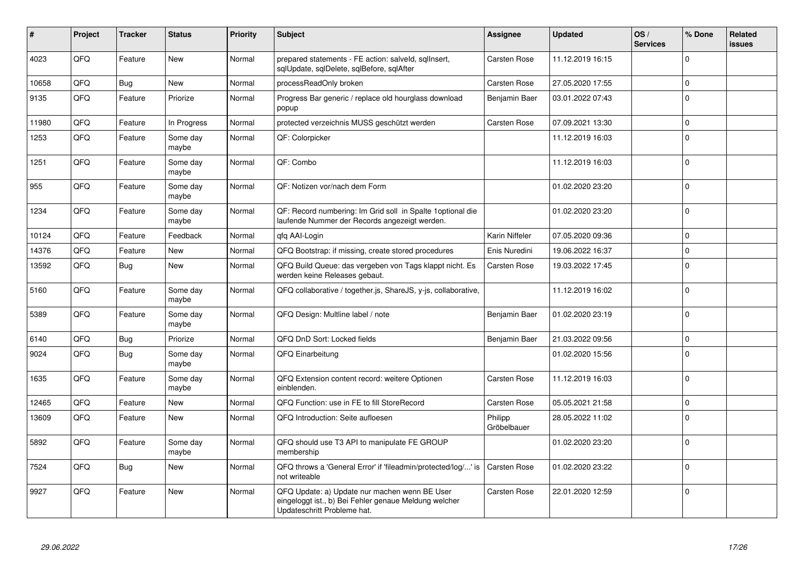| #     | Project | <b>Tracker</b> | <b>Status</b>     | <b>Priority</b> | Subject                                                                                                                               | Assignee               | <b>Updated</b>   | OS/<br><b>Services</b> | % Done         | Related<br><b>issues</b> |
|-------|---------|----------------|-------------------|-----------------|---------------------------------------------------------------------------------------------------------------------------------------|------------------------|------------------|------------------------|----------------|--------------------------|
| 4023  | QFQ     | Feature        | <b>New</b>        | Normal          | prepared statements - FE action: salveld, sqllnsert,<br>sqlUpdate, sqlDelete, sqlBefore, sqlAfter                                     | <b>Carsten Rose</b>    | 11.12.2019 16:15 |                        | $\Omega$       |                          |
| 10658 | QFQ     | Bug            | <b>New</b>        | Normal          | processReadOnly broken                                                                                                                | <b>Carsten Rose</b>    | 27.05.2020 17:55 |                        | $\Omega$       |                          |
| 9135  | QFQ     | Feature        | Priorize          | Normal          | Progress Bar generic / replace old hourglass download<br>popup                                                                        | Benjamin Baer          | 03.01.2022 07:43 |                        | $\Omega$       |                          |
| 11980 | QFQ     | Feature        | In Progress       | Normal          | protected verzeichnis MUSS geschützt werden                                                                                           | Carsten Rose           | 07.09.2021 13:30 |                        | $\Omega$       |                          |
| 1253  | QFQ     | Feature        | Some day<br>maybe | Normal          | QF: Colorpicker                                                                                                                       |                        | 11.12.2019 16:03 |                        | $\Omega$       |                          |
| 1251  | QFQ     | Feature        | Some day<br>maybe | Normal          | QF: Combo                                                                                                                             |                        | 11.12.2019 16:03 |                        | $\Omega$       |                          |
| 955   | QFQ     | Feature        | Some day<br>maybe | Normal          | QF: Notizen vor/nach dem Form                                                                                                         |                        | 01.02.2020 23:20 |                        | $\Omega$       |                          |
| 1234  | QFQ     | Feature        | Some day<br>maybe | Normal          | QF: Record numbering: Im Grid soll in Spalte 1 optional die<br>laufende Nummer der Records angezeigt werden.                          |                        | 01.02.2020 23:20 |                        | $\Omega$       |                          |
| 10124 | QFQ     | Feature        | Feedback          | Normal          | qfq AAI-Login                                                                                                                         | Karin Niffeler         | 07.05.2020 09:36 |                        | $\Omega$       |                          |
| 14376 | QFQ     | Feature        | New               | Normal          | QFQ Bootstrap: if missing, create stored procedures                                                                                   | Enis Nuredini          | 19.06.2022 16:37 |                        | $\mathbf 0$    |                          |
| 13592 | QFQ     | Bug            | <b>New</b>        | Normal          | QFQ Build Queue: das vergeben von Tags klappt nicht. Es<br>werden keine Releases gebaut.                                              | <b>Carsten Rose</b>    | 19.03.2022 17:45 |                        | $\overline{0}$ |                          |
| 5160  | QFQ     | Feature        | Some day<br>maybe | Normal          | QFQ collaborative / together.js, ShareJS, y-js, collaborative,                                                                        |                        | 11.12.2019 16:02 |                        | $\Omega$       |                          |
| 5389  | QFQ     | Feature        | Some day<br>maybe | Normal          | QFQ Design: Multline label / note                                                                                                     | Benjamin Baer          | 01.02.2020 23:19 |                        | $\Omega$       |                          |
| 6140  | QFQ     | Bug            | Priorize          | Normal          | QFQ DnD Sort: Locked fields                                                                                                           | Benjamin Baer          | 21.03.2022 09:56 |                        | $\Omega$       |                          |
| 9024  | QFQ     | Bug            | Some day<br>maybe | Normal          | QFQ Einarbeitung                                                                                                                      |                        | 01.02.2020 15:56 |                        | $\Omega$       |                          |
| 1635  | QFQ     | Feature        | Some day<br>maybe | Normal          | QFQ Extension content record: weitere Optionen<br>einblenden.                                                                         | Carsten Rose           | 11.12.2019 16:03 |                        | $\Omega$       |                          |
| 12465 | QFQ     | Feature        | <b>New</b>        | Normal          | QFQ Function: use in FE to fill StoreRecord                                                                                           | <b>Carsten Rose</b>    | 05.05.2021 21:58 |                        | $\Omega$       |                          |
| 13609 | QFQ     | Feature        | New               | Normal          | QFQ Introduction: Seite aufloesen                                                                                                     | Philipp<br>Gröbelbauer | 28.05.2022 11:02 |                        | $\Omega$       |                          |
| 5892  | QFQ     | Feature        | Some day<br>maybe | Normal          | QFQ should use T3 API to manipulate FE GROUP<br>membership                                                                            |                        | 01.02.2020 23:20 |                        | $\Omega$       |                          |
| 7524  | QFQ     | Bug            | New               | Normal          | QFQ throws a 'General Error' if 'fileadmin/protected/log/' is<br>not writeable                                                        | <b>Carsten Rose</b>    | 01.02.2020 23:22 |                        | $\Omega$       |                          |
| 9927  | QFQ     | Feature        | <b>New</b>        | Normal          | QFQ Update: a) Update nur machen wenn BE User<br>eingeloggt ist., b) Bei Fehler genaue Meldung welcher<br>Updateschritt Probleme hat. | <b>Carsten Rose</b>    | 22.01.2020 12:59 |                        | $\mathbf 0$    |                          |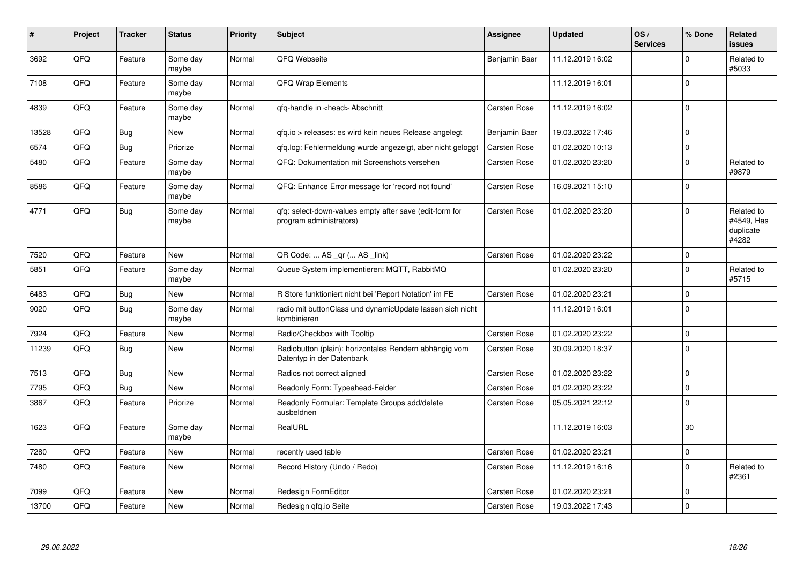| $\vert$ # | Project | <b>Tracker</b> | <b>Status</b>     | <b>Priority</b> | <b>Subject</b>                                                                      | <b>Assignee</b>     | <b>Updated</b>   | OS/<br><b>Services</b> | % Done      | <b>Related</b><br><b>issues</b>                |
|-----------|---------|----------------|-------------------|-----------------|-------------------------------------------------------------------------------------|---------------------|------------------|------------------------|-------------|------------------------------------------------|
| 3692      | QFQ     | Feature        | Some day<br>maybe | Normal          | QFQ Webseite                                                                        | Benjamin Baer       | 11.12.2019 16:02 |                        | $\mathbf 0$ | Related to<br>#5033                            |
| 7108      | QFQ     | Feature        | Some day<br>maybe | Normal          | <b>QFQ Wrap Elements</b>                                                            |                     | 11.12.2019 16:01 |                        | 0           |                                                |
| 4839      | QFQ     | Feature        | Some day<br>maybe | Normal          | gfg-handle in <head> Abschnitt</head>                                               | Carsten Rose        | 11.12.2019 16:02 |                        | $\Omega$    |                                                |
| 13528     | QFQ     | Bug            | New               | Normal          | gfg.io > releases: es wird kein neues Release angelegt                              | Benjamin Baer       | 19.03.2022 17:46 |                        | $\mathbf 0$ |                                                |
| 6574      | QFQ     | Bug            | Priorize          | Normal          | gfg.log: Fehlermeldung wurde angezeigt, aber nicht geloggt                          | <b>Carsten Rose</b> | 01.02.2020 10:13 |                        | $\mathbf 0$ |                                                |
| 5480      | QFQ     | Feature        | Some day<br>maybe | Normal          | QFQ: Dokumentation mit Screenshots versehen                                         | Carsten Rose        | 01.02.2020 23:20 |                        | $\Omega$    | Related to<br>#9879                            |
| 8586      | QFQ     | Feature        | Some day<br>maybe | Normal          | QFQ: Enhance Error message for 'record not found'                                   | <b>Carsten Rose</b> | 16.09.2021 15:10 |                        | $\mathbf 0$ |                                                |
| 4771      | QFQ     | Bug            | Some day<br>maybe | Normal          | gfg: select-down-values empty after save (edit-form for<br>program administrators)  | <b>Carsten Rose</b> | 01.02.2020 23:20 |                        | $\Omega$    | Related to<br>#4549, Has<br>duplicate<br>#4282 |
| 7520      | QFQ     | Feature        | <b>New</b>        | Normal          | QR Code:  AS _qr ( AS _link)                                                        | <b>Carsten Rose</b> | 01.02.2020 23:22 |                        | $\mathbf 0$ |                                                |
| 5851      | QFQ     | Feature        | Some day<br>maybe | Normal          | Queue System implementieren: MQTT, RabbitMQ                                         |                     | 01.02.2020 23:20 |                        | $\Omega$    | Related to<br>#5715                            |
| 6483      | QFQ     | <b>Bug</b>     | <b>New</b>        | Normal          | R Store funktioniert nicht bei 'Report Notation' im FE                              | <b>Carsten Rose</b> | 01.02.2020 23:21 |                        | $\mathbf 0$ |                                                |
| 9020      | QFQ     | <b>Bug</b>     | Some day<br>maybe | Normal          | radio mit buttonClass und dynamicUpdate lassen sich nicht<br>kombinieren            |                     | 11.12.2019 16:01 |                        | $\mathbf 0$ |                                                |
| 7924      | QFQ     | Feature        | <b>New</b>        | Normal          | Radio/Checkbox with Tooltip                                                         | Carsten Rose        | 01.02.2020 23:22 |                        | $\mathbf 0$ |                                                |
| 11239     | QFQ     | Bug            | <b>New</b>        | Normal          | Radiobutton (plain): horizontales Rendern abhängig vom<br>Datentyp in der Datenbank | Carsten Rose        | 30.09.2020 18:37 |                        | $\Omega$    |                                                |
| 7513      | QFQ     | <b>Bug</b>     | <b>New</b>        | Normal          | Radios not correct aligned                                                          | Carsten Rose        | 01.02.2020 23:22 |                        | $\pmb{0}$   |                                                |
| 7795      | QFQ     | Bug            | New               | Normal          | Readonly Form: Typeahead-Felder                                                     | <b>Carsten Rose</b> | 01.02.2020 23:22 |                        | $\mathbf 0$ |                                                |
| 3867      | QFQ     | Feature        | Priorize          | Normal          | Readonly Formular: Template Groups add/delete<br>ausbeldnen                         | Carsten Rose        | 05.05.2021 22:12 |                        | $\mathbf 0$ |                                                |
| 1623      | QFQ     | Feature        | Some day<br>maybe | Normal          | RealURL                                                                             |                     | 11.12.2019 16:03 |                        | 30          |                                                |
| 7280      | QFQ     | Feature        | New               | Normal          | recently used table                                                                 | <b>Carsten Rose</b> | 01.02.2020 23:21 |                        | $\mathbf 0$ |                                                |
| 7480      | QFQ     | Feature        | New               | Normal          | Record History (Undo / Redo)                                                        | Carsten Rose        | 11.12.2019 16:16 |                        | $\mathbf 0$ | Related to<br>#2361                            |
| 7099      | QFQ     | Feature        | New               | Normal          | Redesign FormEditor                                                                 | Carsten Rose        | 01.02.2020 23:21 |                        | $\Omega$    |                                                |
| 13700     | QFQ     | Feature        | New               | Normal          | Redesign qfq.io Seite                                                               | <b>Carsten Rose</b> | 19.03.2022 17:43 |                        | $\Omega$    |                                                |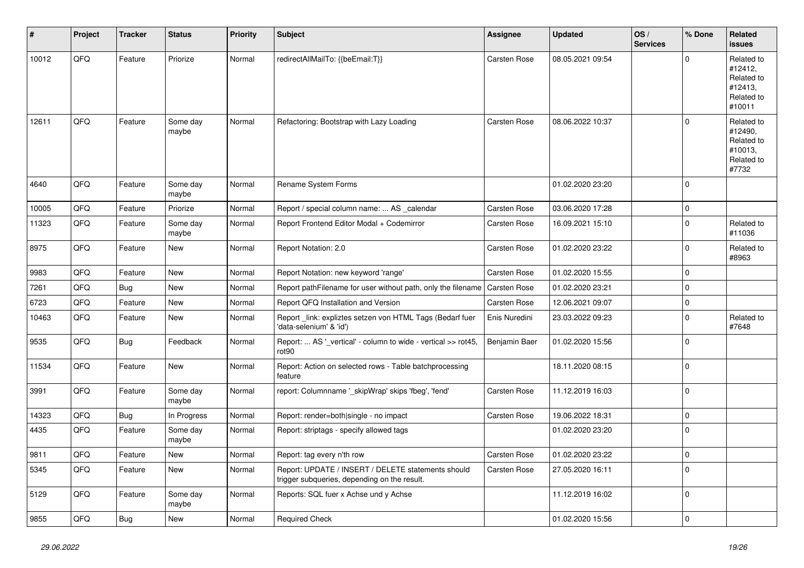| #     | Project | <b>Tracker</b> | <b>Status</b>     | <b>Priority</b> | Subject                                                                                            | <b>Assignee</b>     | <b>Updated</b>   | OS/<br><b>Services</b> | % Done      | Related<br>issues                                                      |
|-------|---------|----------------|-------------------|-----------------|----------------------------------------------------------------------------------------------------|---------------------|------------------|------------------------|-------------|------------------------------------------------------------------------|
| 10012 | QFQ     | Feature        | Priorize          | Normal          | redirectAllMailTo: {{beEmail:T}}                                                                   | Carsten Rose        | 08.05.2021 09:54 |                        | $\Omega$    | Related to<br>#12412,<br>Related to<br>#12413,<br>Related to<br>#10011 |
| 12611 | QFQ     | Feature        | Some day<br>maybe | Normal          | Refactoring: Bootstrap with Lazy Loading                                                           | <b>Carsten Rose</b> | 08.06.2022 10:37 |                        | 0           | Related to<br>#12490,<br>Related to<br>#10013,<br>Related to<br>#7732  |
| 4640  | QFQ     | Feature        | Some day<br>maybe | Normal          | Rename System Forms                                                                                |                     | 01.02.2020 23:20 |                        | $\mathbf 0$ |                                                                        |
| 10005 | QFQ     | Feature        | Priorize          | Normal          | Report / special column name:  AS _calendar                                                        | Carsten Rose        | 03.06.2020 17:28 |                        | 0           |                                                                        |
| 11323 | QFQ     | Feature        | Some day<br>maybe | Normal          | Report Frontend Editor Modal + Codemirror                                                          | Carsten Rose        | 16.09.2021 15:10 |                        | $\mathbf 0$ | Related to<br>#11036                                                   |
| 8975  | QFQ     | Feature        | <b>New</b>        | Normal          | Report Notation: 2.0                                                                               | Carsten Rose        | 01.02.2020 23:22 |                        | $\mathbf 0$ | Related to<br>#8963                                                    |
| 9983  | QFQ     | Feature        | <b>New</b>        | Normal          | Report Notation: new keyword 'range'                                                               | Carsten Rose        | 01.02.2020 15:55 |                        | $\mathbf 0$ |                                                                        |
| 7261  | QFQ     | Bug            | <b>New</b>        | Normal          | Report pathFilename for user without path, only the filename                                       | Carsten Rose        | 01.02.2020 23:21 |                        | $\mathbf 0$ |                                                                        |
| 6723  | QFQ     | Feature        | <b>New</b>        | Normal          | Report QFQ Installation and Version                                                                | Carsten Rose        | 12.06.2021 09:07 |                        | 0           |                                                                        |
| 10463 | QFQ     | Feature        | New               | Normal          | Report _link: expliztes setzen von HTML Tags (Bedarf fuer<br>'data-selenium' & 'id')               | Enis Nuredini       | 23.03.2022 09:23 |                        | $\Omega$    | Related to<br>#7648                                                    |
| 9535  | QFQ     | Bug            | Feedback          | Normal          | Report:  AS '_vertical' - column to wide - vertical >> rot45,<br>rot90                             | Benjamin Baer       | 01.02.2020 15:56 |                        | $\mathbf 0$ |                                                                        |
| 11534 | QFQ     | Feature        | <b>New</b>        | Normal          | Report: Action on selected rows - Table batchprocessing<br>feature                                 |                     | 18.11.2020 08:15 |                        | 0           |                                                                        |
| 3991  | QFQ     | Feature        | Some day<br>maybe | Normal          | report: Columnname '_skipWrap' skips 'fbeg', 'fend'                                                | <b>Carsten Rose</b> | 11.12.2019 16:03 |                        | 0           |                                                                        |
| 14323 | QFQ     | <b>Bug</b>     | In Progress       | Normal          | Report: render=both single - no impact                                                             | Carsten Rose        | 19.06.2022 18:31 |                        | $\mathbf 0$ |                                                                        |
| 4435  | QFQ     | Feature        | Some day<br>maybe | Normal          | Report: striptags - specify allowed tags                                                           |                     | 01.02.2020 23:20 |                        | $\mathbf 0$ |                                                                        |
| 9811  | QFG     | Feature        | New               | Normal          | Report: tag every n'th row                                                                         | Carsten Rose        | 01.02.2020 23:22 |                        | 0           |                                                                        |
| 5345  | QFQ     | Feature        | New               | Normal          | Report: UPDATE / INSERT / DELETE statements should<br>trigger subqueries, depending on the result. | Carsten Rose        | 27.05.2020 16:11 |                        | 0           |                                                                        |
| 5129  | QFQ     | Feature        | Some day<br>maybe | Normal          | Reports: SQL fuer x Achse und y Achse                                                              |                     | 11.12.2019 16:02 |                        | 0           |                                                                        |
| 9855  | QFQ     | <b>Bug</b>     | New               | Normal          | <b>Required Check</b>                                                                              |                     | 01.02.2020 15:56 |                        | 0           |                                                                        |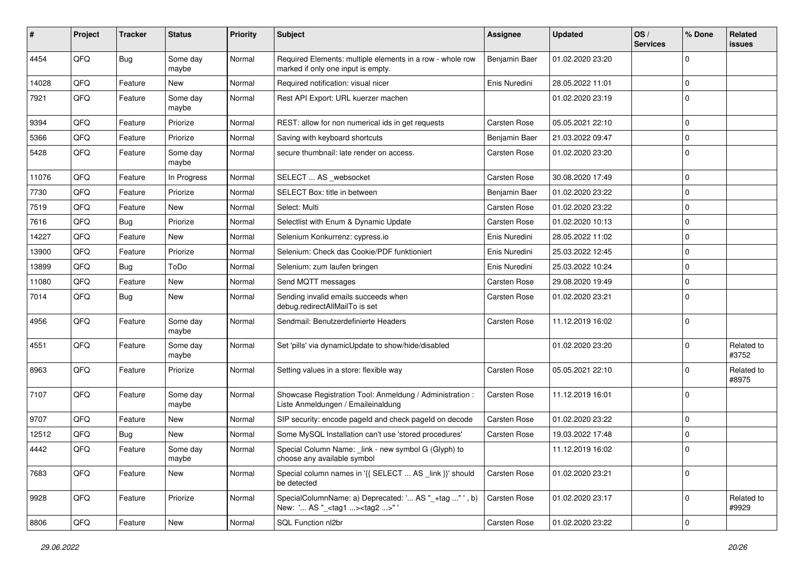| #     | Project | <b>Tracker</b> | <b>Status</b>     | <b>Priority</b> | <b>Subject</b>                                                                                     | <b>Assignee</b>     | <b>Updated</b>   | OS/<br><b>Services</b> | % Done      | Related<br>issues   |
|-------|---------|----------------|-------------------|-----------------|----------------------------------------------------------------------------------------------------|---------------------|------------------|------------------------|-------------|---------------------|
| 4454  | QFQ     | Bug            | Some day<br>maybe | Normal          | Required Elements: multiple elements in a row - whole row<br>marked if only one input is empty.    | Benjamin Baer       | 01.02.2020 23:20 |                        | $\Omega$    |                     |
| 14028 | QFQ     | Feature        | New               | Normal          | Required notification: visual nicer                                                                | Enis Nuredini       | 28.05.2022 11:01 |                        | $\mathbf 0$ |                     |
| 7921  | QFQ     | Feature        | Some day<br>maybe | Normal          | Rest API Export: URL kuerzer machen                                                                |                     | 01.02.2020 23:19 |                        | $\Omega$    |                     |
| 9394  | QFQ     | Feature        | Priorize          | Normal          | REST: allow for non numerical ids in get requests                                                  | Carsten Rose        | 05.05.2021 22:10 |                        | $\Omega$    |                     |
| 5366  | QFQ     | Feature        | Priorize          | Normal          | Saving with keyboard shortcuts                                                                     | Benjamin Baer       | 21.03.2022 09:47 |                        | $\mathbf 0$ |                     |
| 5428  | QFQ     | Feature        | Some day<br>maybe | Normal          | secure thumbnail: late render on access.                                                           | <b>Carsten Rose</b> | 01.02.2020 23:20 |                        | $\Omega$    |                     |
| 11076 | QFQ     | Feature        | In Progress       | Normal          | SELECT  AS _websocket                                                                              | <b>Carsten Rose</b> | 30.08.2020 17:49 |                        | $\mathbf 0$ |                     |
| 7730  | QFQ     | Feature        | Priorize          | Normal          | SELECT Box: title in between                                                                       | Benjamin Baer       | 01.02.2020 23:22 |                        | $\Omega$    |                     |
| 7519  | QFQ     | Feature        | New               | Normal          | Select: Multi                                                                                      | <b>Carsten Rose</b> | 01.02.2020 23:22 |                        | 0           |                     |
| 7616  | QFQ     | Bug            | Priorize          | Normal          | Selectlist with Enum & Dynamic Update                                                              | Carsten Rose        | 01.02.2020 10:13 |                        | $\Omega$    |                     |
| 14227 | QFQ     | Feature        | <b>New</b>        | Normal          | Selenium Konkurrenz: cypress.io                                                                    | Enis Nuredini       | 28.05.2022 11:02 |                        | $\Omega$    |                     |
| 13900 | QFQ     | Feature        | Priorize          | Normal          | Selenium: Check das Cookie/PDF funktioniert                                                        | Enis Nuredini       | 25.03.2022 12:45 |                        | $\mathbf 0$ |                     |
| 13899 | QFQ     | Bug            | ToDo              | Normal          | Selenium: zum laufen bringen                                                                       | Enis Nuredini       | 25.03.2022 10:24 |                        | 0           |                     |
| 11080 | QFQ     | Feature        | <b>New</b>        | Normal          | Send MQTT messages                                                                                 | Carsten Rose        | 29.08.2020 19:49 |                        | 0           |                     |
| 7014  | QFQ     | Bug            | New               | Normal          | Sending invalid emails succeeds when<br>debug.redirectAllMailTo is set                             | Carsten Rose        | 01.02.2020 23:21 |                        | $\Omega$    |                     |
| 4956  | QFQ     | Feature        | Some day<br>maybe | Normal          | Sendmail: Benutzerdefinierte Headers                                                               | <b>Carsten Rose</b> | 11.12.2019 16:02 |                        | $\mathbf 0$ |                     |
| 4551  | QFQ     | Feature        | Some day<br>maybe | Normal          | Set 'pills' via dynamicUpdate to show/hide/disabled                                                |                     | 01.02.2020 23:20 |                        | $\Omega$    | Related to<br>#3752 |
| 8963  | QFQ     | Feature        | Priorize          | Normal          | Setting values in a store: flexible way                                                            | Carsten Rose        | 05.05.2021 22:10 |                        | $\Omega$    | Related to<br>#8975 |
| 7107  | QFQ     | Feature        | Some day<br>maybe | Normal          | Showcase Registration Tool: Anmeldung / Administration :<br>Liste Anmeldungen / Emaileinaldung     | <b>Carsten Rose</b> | 11.12.2019 16:01 |                        | $\Omega$    |                     |
| 9707  | QFQ     | Feature        | <b>New</b>        | Normal          | SIP security: encode pageld and check pageld on decode                                             | Carsten Rose        | 01.02.2020 23:22 |                        | 0           |                     |
| 12512 | QFQ     | Bug            | New               | Normal          | Some MySQL Installation can't use 'stored procedures'                                              | Carsten Rose        | 19.03.2022 17:48 |                        | 0           |                     |
| 4442  | QFQ     | Feature        | Some day<br>maybe | Normal          | Special Column Name: _link - new symbol G (Glyph) to<br>choose any available symbol                |                     | 11.12.2019 16:02 |                        | $\mathbf 0$ |                     |
| 7683  | QFQ     | Feature        | New               | Normal          | Special column names in '{{ SELECT  AS _link }}' should<br>be detected                             | Carsten Rose        | 01.02.2020 23:21 |                        | $\Omega$    |                     |
| 9928  | QFQ     | Feature        | Priorize          | Normal          | SpecialColumnName: a) Deprecated: ' AS "_+tag " ', b)<br>New: ' AS "_ <tag1><tag2>"'</tag2></tag1> | Carsten Rose        | 01.02.2020 23:17 |                        | $\mathbf 0$ | Related to<br>#9929 |
| 8806  | QFG     | Feature        | New               | Normal          | SQL Function nl2br                                                                                 | Carsten Rose        | 01.02.2020 23:22 |                        | $\mathbf 0$ |                     |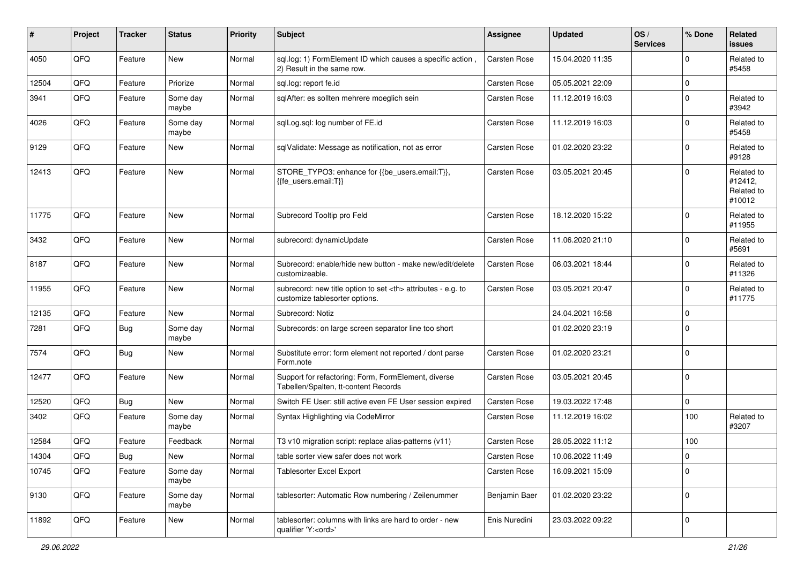| #     | Project | <b>Tracker</b> | <b>Status</b>     | <b>Priority</b> | Subject                                                                                              | <b>Assignee</b>                                        | <b>Updated</b>   | OS/<br><b>Services</b> | % Done         | Related<br><b>issues</b>                      |                      |
|-------|---------|----------------|-------------------|-----------------|------------------------------------------------------------------------------------------------------|--------------------------------------------------------|------------------|------------------------|----------------|-----------------------------------------------|----------------------|
| 4050  | QFQ     | Feature        | <b>New</b>        | Normal          | sql.log: 1) FormElement ID which causes a specific action,<br>2) Result in the same row.             | <b>Carsten Rose</b>                                    | 15.04.2020 11:35 |                        | $\Omega$       | Related to<br>#5458                           |                      |
| 12504 | QFQ     | Feature        | Priorize          | Normal          | sql.log: report fe.id                                                                                | <b>Carsten Rose</b>                                    | 05.05.2021 22:09 |                        | $\overline{0}$ |                                               |                      |
| 3941  | QFQ     | Feature        | Some day<br>maybe | Normal          | sqlAfter: es sollten mehrere moeglich sein                                                           | Carsten Rose                                           | 11.12.2019 16:03 |                        | $\mathbf 0$    | Related to<br>#3942                           |                      |
| 4026  | QFQ     | Feature        | Some day<br>maybe | Normal          | sqlLog.sql: log number of FE.id                                                                      | Carsten Rose                                           | 11.12.2019 16:03 |                        | $\mathbf 0$    | Related to<br>#5458                           |                      |
| 9129  | QFQ     | Feature        | <b>New</b>        | Normal          | sqlValidate: Message as notification, not as error                                                   | Carsten Rose                                           | 01.02.2020 23:22 |                        | $\Omega$       | Related to<br>#9128                           |                      |
| 12413 | QFQ     | Feature        | <b>New</b>        | Normal          | STORE_TYPO3: enhance for {{be_users.email:T}},<br>{{fe users.email:T}}                               | Carsten Rose                                           | 03.05.2021 20:45 |                        | $\Omega$       | Related to<br>#12412,<br>Related to<br>#10012 |                      |
| 11775 | QFQ     | Feature        | New               | Normal          | Subrecord Tooltip pro Feld                                                                           | <b>Carsten Rose</b>                                    | 18.12.2020 15:22 |                        | $\Omega$       | Related to<br>#11955                          |                      |
| 3432  | QFQ     | Feature        | <b>New</b>        | Normal          | subrecord: dynamicUpdate                                                                             | Carsten Rose                                           | 11.06.2020 21:10 |                        | $\Omega$       | Related to<br>#5691                           |                      |
| 8187  | QFQ     | Feature        | <b>New</b>        | Normal          | Subrecord: enable/hide new button - make new/edit/delete<br>customizeable.                           | Carsten Rose                                           | 06.03.2021 18:44 |                        | $\mathbf 0$    | Related to<br>#11326                          |                      |
| 11955 | QFQ     | Feature        | <b>New</b>        | Normal          | subrecord: new title option to set <th> attributes - e.g. to<br/>customize tablesorter options.</th> | attributes - e.g. to<br>customize tablesorter options. | Carsten Rose     | 03.05.2021 20:47       |                | $\Omega$                                      | Related to<br>#11775 |
| 12135 | QFQ     | Feature        | <b>New</b>        | Normal          | Subrecord: Notiz                                                                                     |                                                        | 24.04.2021 16:58 |                        | $\mathbf 0$    |                                               |                      |
| 7281  | QFQ     | <b>Bug</b>     | Some day<br>maybe | Normal          | Subrecords: on large screen separator line too short                                                 |                                                        | 01.02.2020 23:19 |                        | $\Omega$       |                                               |                      |
| 7574  | QFQ     | Bug            | New               | Normal          | Substitute error: form element not reported / dont parse<br>Form.note                                | <b>Carsten Rose</b>                                    | 01.02.2020 23:21 |                        | $\mathbf 0$    |                                               |                      |
| 12477 | QFQ     | Feature        | <b>New</b>        | Normal          | Support for refactoring: Form, FormElement, diverse<br>Tabellen/Spalten, tt-content Records          | Carsten Rose                                           | 03.05.2021 20:45 |                        | $\mathbf 0$    |                                               |                      |
| 12520 | QFQ     | Bug            | <b>New</b>        | Normal          | Switch FE User: still active even FE User session expired                                            | <b>Carsten Rose</b>                                    | 19.03.2022 17:48 |                        | $\mathbf 0$    |                                               |                      |
| 3402  | QFQ     | Feature        | Some day<br>maybe | Normal          | Syntax Highlighting via CodeMirror                                                                   | Carsten Rose                                           | 11.12.2019 16:02 |                        | 100            | Related to<br>#3207                           |                      |
| 12584 | QFQ     | Feature        | Feedback          | Normal          | T3 v10 migration script: replace alias-patterns (v11)                                                | Carsten Rose                                           | 28.05.2022 11:12 |                        | 100            |                                               |                      |
| 14304 | QFQ     | Bug            | New               | Normal          | table sorter view safer does not work                                                                | Carsten Rose                                           | 10.06.2022 11:49 |                        | $\pmb{0}$      |                                               |                      |
| 10745 | QFQ     | Feature        | Some day<br>maybe | Normal          | Tablesorter Excel Export                                                                             | Carsten Rose                                           | 16.09.2021 15:09 |                        | $\mathbf 0$    |                                               |                      |
| 9130  | QFQ     | Feature        | Some day<br>maybe | Normal          | tablesorter: Automatic Row numbering / Zeilenummer                                                   | Benjamin Baer                                          | 01.02.2020 23:22 |                        | $\mathbf 0$    |                                               |                      |
| 11892 | QFQ     | Feature        | New               | Normal          | tablesorter: columns with links are hard to order - new<br>qualifier 'Y: <ord>'</ord>                | Enis Nuredini                                          | 23.03.2022 09:22 |                        | 0              |                                               |                      |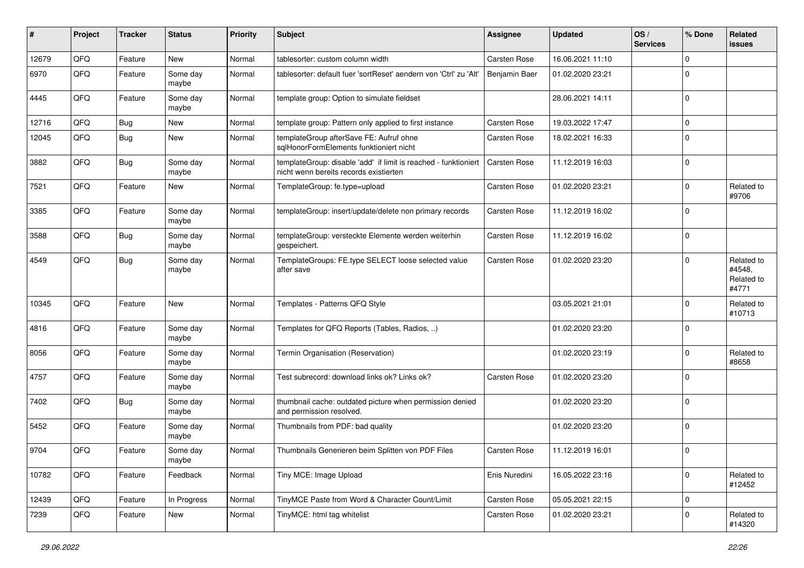| ∦     | Project | <b>Tracker</b> | <b>Status</b>     | <b>Priority</b> | <b>Subject</b>                                                                                            | Assignee            | <b>Updated</b>   | OS/<br><b>Services</b> | % Done      | Related<br><b>issues</b>                    |
|-------|---------|----------------|-------------------|-----------------|-----------------------------------------------------------------------------------------------------------|---------------------|------------------|------------------------|-------------|---------------------------------------------|
| 12679 | QFQ     | Feature        | <b>New</b>        | Normal          | tablesorter: custom column width                                                                          | Carsten Rose        | 16.06.2021 11:10 |                        | $\Omega$    |                                             |
| 6970  | QFQ     | Feature        | Some day<br>maybe | Normal          | tablesorter: default fuer 'sortReset' aendern von 'Ctrl' zu 'Alt'                                         | Benjamin Baer       | 01.02.2020 23:21 |                        | $\Omega$    |                                             |
| 4445  | QFQ     | Feature        | Some day<br>maybe | Normal          | template group: Option to simulate fieldset                                                               |                     | 28.06.2021 14:11 |                        | $\Omega$    |                                             |
| 12716 | QFQ     | Bug            | New               | Normal          | template group: Pattern only applied to first instance                                                    | <b>Carsten Rose</b> | 19.03.2022 17:47 |                        | $\Omega$    |                                             |
| 12045 | QFQ     | Bug            | New               | Normal          | templateGroup afterSave FE: Aufruf ohne<br>sqlHonorFormElements funktioniert nicht                        | <b>Carsten Rose</b> | 18.02.2021 16:33 |                        | $\Omega$    |                                             |
| 3882  | QFQ     | Bug            | Some day<br>maybe | Normal          | templateGroup: disable 'add' if limit is reached - funktioniert<br>nicht wenn bereits records existierten | <b>Carsten Rose</b> | 11.12.2019 16:03 |                        | $\mathbf 0$ |                                             |
| 7521  | QFQ     | Feature        | <b>New</b>        | Normal          | TemplateGroup: fe.type=upload                                                                             | <b>Carsten Rose</b> | 01.02.2020 23:21 |                        | $\Omega$    | Related to<br>#9706                         |
| 3385  | QFQ     | Feature        | Some day<br>maybe | Normal          | templateGroup: insert/update/delete non primary records                                                   | <b>Carsten Rose</b> | 11.12.2019 16:02 |                        | $\Omega$    |                                             |
| 3588  | QFQ     | Bug            | Some day<br>maybe | Normal          | templateGroup: versteckte Elemente werden weiterhin<br>gespeichert.                                       | <b>Carsten Rose</b> | 11.12.2019 16:02 |                        | $\Omega$    |                                             |
| 4549  | QFQ     | Bug            | Some day<br>maybe | Normal          | TemplateGroups: FE.type SELECT loose selected value<br>after save                                         | <b>Carsten Rose</b> | 01.02.2020 23:20 |                        | $\Omega$    | Related to<br>#4548,<br>Related to<br>#4771 |
| 10345 | QFQ     | Feature        | New               | Normal          | Templates - Patterns QFQ Style                                                                            |                     | 03.05.2021 21:01 |                        | $\Omega$    | Related to<br>#10713                        |
| 4816  | QFQ     | Feature        | Some day<br>maybe | Normal          | Templates for QFQ Reports (Tables, Radios, )                                                              |                     | 01.02.2020 23:20 |                        | $\Omega$    |                                             |
| 8056  | QFQ     | Feature        | Some day<br>maybe | Normal          | Termin Organisation (Reservation)                                                                         |                     | 01.02.2020 23:19 |                        | $\Omega$    | Related to<br>#8658                         |
| 4757  | QFQ     | Feature        | Some day<br>maybe | Normal          | Test subrecord: download links ok? Links ok?                                                              | <b>Carsten Rose</b> | 01.02.2020 23:20 |                        | $\Omega$    |                                             |
| 7402  | QFQ     | Bug            | Some day<br>maybe | Normal          | thumbnail cache: outdated picture when permission denied<br>and permission resolved.                      |                     | 01.02.2020 23:20 |                        | $\Omega$    |                                             |
| 5452  | QFQ     | Feature        | Some day<br>maybe | Normal          | Thumbnails from PDF: bad quality                                                                          |                     | 01.02.2020 23:20 |                        | $\mathbf 0$ |                                             |
| 9704  | QFQ     | Feature        | Some day<br>maybe | Normal          | Thumbnails Generieren beim Splitten von PDF Files                                                         | <b>Carsten Rose</b> | 11.12.2019 16:01 |                        | $\mathbf 0$ |                                             |
| 10782 | QFQ     | Feature        | Feedback          | Normal          | Tiny MCE: Image Upload                                                                                    | Enis Nuredini       | 16.05.2022 23:16 |                        | $\Omega$    | Related to<br>#12452                        |
| 12439 | QFQ     | Feature        | In Progress       | Normal          | TinyMCE Paste from Word & Character Count/Limit                                                           | Carsten Rose        | 05.05.2021 22:15 |                        | $\mathbf 0$ |                                             |
| 7239  | QFQ     | Feature        | New               | Normal          | TinyMCE: html tag whitelist                                                                               | Carsten Rose        | 01.02.2020 23:21 |                        | 0           | Related to<br>#14320                        |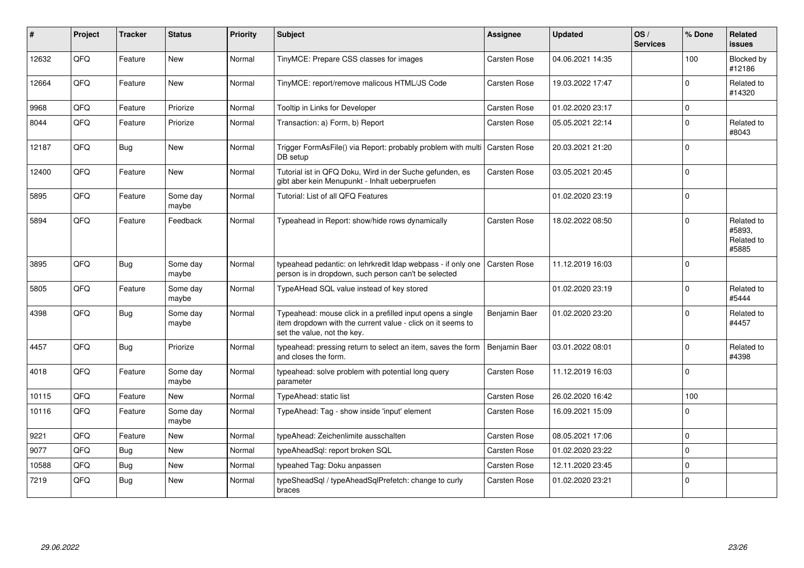| #     | Project | <b>Tracker</b> | <b>Status</b>     | <b>Priority</b> | <b>Subject</b>                                                                                                                                           | Assignee            | <b>Updated</b>   | OS/<br><b>Services</b> | % Done      | Related<br><b>issues</b>                    |
|-------|---------|----------------|-------------------|-----------------|----------------------------------------------------------------------------------------------------------------------------------------------------------|---------------------|------------------|------------------------|-------------|---------------------------------------------|
| 12632 | QFQ     | Feature        | <b>New</b>        | Normal          | TinyMCE: Prepare CSS classes for images                                                                                                                  | Carsten Rose        | 04.06.2021 14:35 |                        | 100         | Blocked by<br>#12186                        |
| 12664 | QFQ     | Feature        | <b>New</b>        | Normal          | TinyMCE: report/remove malicous HTML/JS Code                                                                                                             | Carsten Rose        | 19.03.2022 17:47 |                        | $\Omega$    | Related to<br>#14320                        |
| 9968  | QFQ     | Feature        | Priorize          | Normal          | Tooltip in Links for Developer                                                                                                                           | Carsten Rose        | 01.02.2020 23:17 |                        | $\Omega$    |                                             |
| 8044  | QFQ     | Feature        | Priorize          | Normal          | Transaction: a) Form, b) Report                                                                                                                          | Carsten Rose        | 05.05.2021 22:14 |                        | $\Omega$    | Related to<br>#8043                         |
| 12187 | QFQ     | Bug            | <b>New</b>        | Normal          | Trigger FormAsFile() via Report: probably problem with multi<br>DB setup                                                                                 | Carsten Rose        | 20.03.2021 21:20 |                        | $\Omega$    |                                             |
| 12400 | QFQ     | Feature        | <b>New</b>        | Normal          | Tutorial ist in QFQ Doku, Wird in der Suche gefunden, es<br>gibt aber kein Menupunkt - Inhalt ueberpruefen                                               | Carsten Rose        | 03.05.2021 20:45 |                        | $\Omega$    |                                             |
| 5895  | QFQ     | Feature        | Some day<br>maybe | Normal          | Tutorial: List of all QFQ Features                                                                                                                       |                     | 01.02.2020 23:19 |                        | $\Omega$    |                                             |
| 5894  | QFQ     | Feature        | Feedback          | Normal          | Typeahead in Report: show/hide rows dynamically                                                                                                          | Carsten Rose        | 18.02.2022 08:50 |                        | $\Omega$    | Related to<br>#5893.<br>Related to<br>#5885 |
| 3895  | QFQ     | Bug            | Some day<br>maybe | Normal          | typeahead pedantic: on lehrkredit Idap webpass - if only one<br>person is in dropdown, such person can't be selected                                     | <b>Carsten Rose</b> | 11.12.2019 16:03 |                        | $\Omega$    |                                             |
| 5805  | QFQ     | Feature        | Some day<br>maybe | Normal          | TypeAHead SQL value instead of key stored                                                                                                                |                     | 01.02.2020 23:19 |                        | $\Omega$    | Related to<br>#5444                         |
| 4398  | QFQ     | <b>Bug</b>     | Some day<br>maybe | Normal          | Typeahead: mouse click in a prefilled input opens a single<br>item dropdown with the current value - click on it seems to<br>set the value, not the key. | Benjamin Baer       | 01.02.2020 23:20 |                        | $\Omega$    | Related to<br>#4457                         |
| 4457  | QFQ     | Bug            | Priorize          | Normal          | typeahead: pressing return to select an item, saves the form<br>and closes the form.                                                                     | Benjamin Baer       | 03.01.2022 08:01 |                        | $\Omega$    | Related to<br>#4398                         |
| 4018  | QFQ     | Feature        | Some day<br>maybe | Normal          | typeahead: solve problem with potential long query<br>parameter                                                                                          | Carsten Rose        | 11.12.2019 16:03 |                        | $\Omega$    |                                             |
| 10115 | QFQ     | Feature        | <b>New</b>        | Normal          | TypeAhead: static list                                                                                                                                   | Carsten Rose        | 26.02.2020 16:42 |                        | 100         |                                             |
| 10116 | QFQ     | Feature        | Some day<br>maybe | Normal          | TypeAhead: Tag - show inside 'input' element                                                                                                             | Carsten Rose        | 16.09.2021 15:09 |                        | $\Omega$    |                                             |
| 9221  | QFQ     | Feature        | <b>New</b>        | Normal          | typeAhead: Zeichenlimite ausschalten                                                                                                                     | Carsten Rose        | 08.05.2021 17:06 |                        | $\Omega$    |                                             |
| 9077  | QFQ     | Bug            | <b>New</b>        | Normal          | typeAheadSql: report broken SQL                                                                                                                          | Carsten Rose        | 01.02.2020 23:22 |                        | $\Omega$    |                                             |
| 10588 | QFQ     | Bug            | <b>New</b>        | Normal          | typeahed Tag: Doku anpassen                                                                                                                              | Carsten Rose        | 12.11.2020 23:45 |                        | $\mathbf 0$ |                                             |
| 7219  | QFQ     | Bug            | <b>New</b>        | Normal          | typeSheadSql / typeAheadSqlPrefetch: change to curly<br>braces                                                                                           | Carsten Rose        | 01.02.2020 23:21 |                        | l 0         |                                             |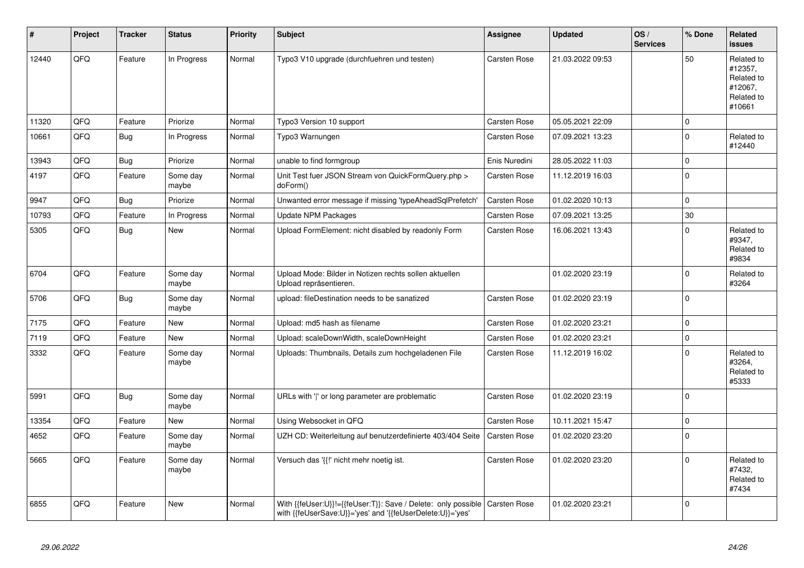| ∦     | Project | <b>Tracker</b> | <b>Status</b>     | <b>Priority</b> | <b>Subject</b>                                                                                                             | Assignee            | <b>Updated</b>   | OS/<br><b>Services</b> | % Done      | Related<br><b>issues</b>                                               |
|-------|---------|----------------|-------------------|-----------------|----------------------------------------------------------------------------------------------------------------------------|---------------------|------------------|------------------------|-------------|------------------------------------------------------------------------|
| 12440 | QFQ     | Feature        | In Progress       | Normal          | Typo3 V10 upgrade (durchfuehren und testen)                                                                                | Carsten Rose        | 21.03.2022 09:53 |                        | 50          | Related to<br>#12357,<br>Related to<br>#12067,<br>Related to<br>#10661 |
| 11320 | QFQ     | Feature        | Priorize          | Normal          | Typo3 Version 10 support                                                                                                   | Carsten Rose        | 05.05.2021 22:09 |                        | $\mathbf 0$ |                                                                        |
| 10661 | QFQ     | Bug            | In Progress       | Normal          | Typo3 Warnungen                                                                                                            | Carsten Rose        | 07.09.2021 13:23 |                        | $\Omega$    | Related to<br>#12440                                                   |
| 13943 | QFQ     | Bug            | Priorize          | Normal          | unable to find formgroup                                                                                                   | Enis Nuredini       | 28.05.2022 11:03 |                        | $\mathbf 0$ |                                                                        |
| 4197  | QFQ     | Feature        | Some day<br>maybe | Normal          | Unit Test fuer JSON Stream von QuickFormQuery.php ><br>doForm()                                                            | Carsten Rose        | 11.12.2019 16:03 |                        | $\Omega$    |                                                                        |
| 9947  | QFQ     | Bug            | Priorize          | Normal          | Unwanted error message if missing 'typeAheadSqlPrefetch'                                                                   | Carsten Rose        | 01.02.2020 10:13 |                        | $\mathbf 0$ |                                                                        |
| 10793 | QFQ     | Feature        | In Progress       | Normal          | <b>Update NPM Packages</b>                                                                                                 | Carsten Rose        | 07.09.2021 13:25 |                        | 30          |                                                                        |
| 5305  | QFQ     | <b>Bug</b>     | <b>New</b>        | Normal          | Upload FormElement: nicht disabled by readonly Form                                                                        | Carsten Rose        | 16.06.2021 13:43 |                        | $\Omega$    | Related to<br>#9347,<br>Related to<br>#9834                            |
| 6704  | QFQ     | Feature        | Some day<br>maybe | Normal          | Upload Mode: Bilder in Notizen rechts sollen aktuellen<br>Upload repräsentieren.                                           |                     | 01.02.2020 23:19 |                        | $\mathbf 0$ | Related to<br>#3264                                                    |
| 5706  | QFQ     | Bug            | Some day<br>maybe | Normal          | upload: fileDestination needs to be sanatized                                                                              | Carsten Rose        | 01.02.2020 23:19 |                        | $\Omega$    |                                                                        |
| 7175  | QFQ     | Feature        | <b>New</b>        | Normal          | Upload: md5 hash as filename                                                                                               | Carsten Rose        | 01.02.2020 23:21 |                        | 0           |                                                                        |
| 7119  | QFQ     | Feature        | <b>New</b>        | Normal          | Upload: scaleDownWidth, scaleDownHeight                                                                                    | Carsten Rose        | 01.02.2020 23:21 |                        | $\mathbf 0$ |                                                                        |
| 3332  | QFQ     | Feature        | Some day<br>maybe | Normal          | Uploads: Thumbnails, Details zum hochgeladenen File                                                                        | Carsten Rose        | 11.12.2019 16:02 |                        | $\Omega$    | Related to<br>#3264,<br>Related to<br>#5333                            |
| 5991  | QFQ     | Bug            | Some day<br>maybe | Normal          | URLs with ' ' or long parameter are problematic                                                                            | Carsten Rose        | 01.02.2020 23:19 |                        | $\mathbf 0$ |                                                                        |
| 13354 | QFQ     | Feature        | <b>New</b>        | Normal          | Using Websocket in QFQ                                                                                                     | Carsten Rose        | 10.11.2021 15:47 |                        | $\pmb{0}$   |                                                                        |
| 4652  | QFQ     | Feature        | Some day<br>maybe | Normal          | UZH CD: Weiterleitung auf benutzerdefinierte 403/404 Seite                                                                 | Carsten Rose        | 01.02.2020 23:20 |                        | $\Omega$    |                                                                        |
| 5665  | QFQ     | Feature        | Some day<br>maybe | Normal          | Versuch das '{{!' nicht mehr noetig ist.                                                                                   | Carsten Rose        | 01.02.2020 23:20 |                        | $\mathbf 0$ | Related to<br>#7432,<br>Related to<br>#7434                            |
| 6855  | QFQ     | Feature        | <b>New</b>        | Normal          | With {{feUser:U}}!={{feUser:T}}: Save / Delete: only possible<br>with {{feUserSave:U}}='yes' and '{{feUserDelete:U}}='yes' | <b>Carsten Rose</b> | 01.02.2020 23:21 |                        | $\Omega$    |                                                                        |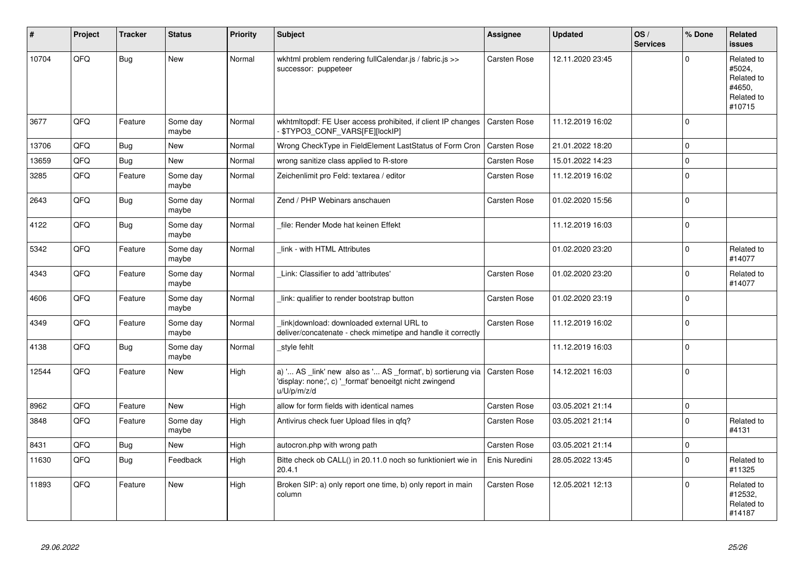| ∦     | Project | <b>Tracker</b> | <b>Status</b>     | <b>Priority</b> | <b>Subject</b>                                                                                                                        | Assignee            | <b>Updated</b>   | OS/<br><b>Services</b> | % Done         | Related<br>issues                                                    |
|-------|---------|----------------|-------------------|-----------------|---------------------------------------------------------------------------------------------------------------------------------------|---------------------|------------------|------------------------|----------------|----------------------------------------------------------------------|
| 10704 | QFQ     | Bug            | <b>New</b>        | Normal          | wkhtml problem rendering fullCalendar.js / fabric.js >><br>successor: puppeteer                                                       | Carsten Rose        | 12.11.2020 23:45 |                        | $\Omega$       | Related to<br>#5024,<br>Related to<br>#4650,<br>Related to<br>#10715 |
| 3677  | QFQ     | Feature        | Some day<br>maybe | Normal          | wkhtmltopdf: FE User access prohibited, if client IP changes<br>\$TYPO3_CONF_VARS[FE][lockIP]                                         | Carsten Rose        | 11.12.2019 16:02 |                        | $\mathbf 0$    |                                                                      |
| 13706 | QFQ     | Bug            | <b>New</b>        | Normal          | Wrong CheckType in FieldElement LastStatus of Form Cron                                                                               | Carsten Rose        | 21.01.2022 18:20 |                        | $\mathbf 0$    |                                                                      |
| 13659 | QFQ     | Bug            | <b>New</b>        | Normal          | wrong sanitize class applied to R-store                                                                                               | Carsten Rose        | 15.01.2022 14:23 |                        | $\Omega$       |                                                                      |
| 3285  | QFQ     | Feature        | Some day<br>maybe | Normal          | Zeichenlimit pro Feld: textarea / editor                                                                                              | Carsten Rose        | 11.12.2019 16:02 |                        | $\Omega$       |                                                                      |
| 2643  | QFQ     | Bug            | Some day<br>maybe | Normal          | Zend / PHP Webinars anschauen                                                                                                         | Carsten Rose        | 01.02.2020 15:56 |                        | $\Omega$       |                                                                      |
| 4122  | QFQ     | Bug            | Some day<br>maybe | Normal          | file: Render Mode hat keinen Effekt                                                                                                   |                     | 11.12.2019 16:03 |                        | $\overline{0}$ |                                                                      |
| 5342  | QFQ     | Feature        | Some day<br>maybe | Normal          | link - with HTML Attributes                                                                                                           |                     | 01.02.2020 23:20 |                        | $\Omega$       | Related to<br>#14077                                                 |
| 4343  | QFQ     | Feature        | Some day<br>maybe | Normal          | Link: Classifier to add 'attributes'                                                                                                  | Carsten Rose        | 01.02.2020 23:20 |                        | $\Omega$       | Related to<br>#14077                                                 |
| 4606  | QFQ     | Feature        | Some day<br>maybe | Normal          | link: qualifier to render bootstrap button                                                                                            | Carsten Rose        | 01.02.2020 23:19 |                        | $\Omega$       |                                                                      |
| 4349  | QFQ     | Feature        | Some day<br>maybe | Normal          | link download: downloaded external URL to<br>deliver/concatenate - check mimetipe and handle it correctly                             | Carsten Rose        | 11.12.2019 16:02 |                        | $\Omega$       |                                                                      |
| 4138  | QFQ     | Bug            | Some day<br>maybe | Normal          | style fehlt                                                                                                                           |                     | 11.12.2019 16:03 |                        | $\Omega$       |                                                                      |
| 12544 | QFQ     | Feature        | New               | High            | a) ' AS _link' new also as ' AS _format', b) sortierung via<br>'display: none;', c) ' format' benoeitgt nicht zwingend<br>u/U/p/m/z/d | Carsten Rose        | 14.12.2021 16:03 |                        | $\overline{0}$ |                                                                      |
| 8962  | QFQ     | Feature        | <b>New</b>        | High            | allow for form fields with identical names                                                                                            | <b>Carsten Rose</b> | 03.05.2021 21:14 |                        | $\mathbf 0$    |                                                                      |
| 3848  | QFQ     | Feature        | Some day<br>maybe | High            | Antivirus check fuer Upload files in qfq?                                                                                             | Carsten Rose        | 03.05.2021 21:14 |                        | $\Omega$       | Related to<br>#4131                                                  |
| 8431  | QFQ     | Bug            | <b>New</b>        | High            | autocron.php with wrong path                                                                                                          | Carsten Rose        | 03.05.2021 21:14 |                        | $\mathbf 0$    |                                                                      |
| 11630 | QFQ     | <b>Bug</b>     | Feedback          | High            | Bitte check ob CALL() in 20.11.0 noch so funktioniert wie in<br>20.4.1                                                                | Enis Nuredini       | 28.05.2022 13:45 |                        | $\Omega$       | Related to<br>#11325                                                 |
| 11893 | QFQ     | Feature        | <b>New</b>        | High            | Broken SIP: a) only report one time, b) only report in main<br>column                                                                 | Carsten Rose        | 12.05.2021 12:13 |                        | $\Omega$       | Related to<br>#12532,<br>Related to<br>#14187                        |